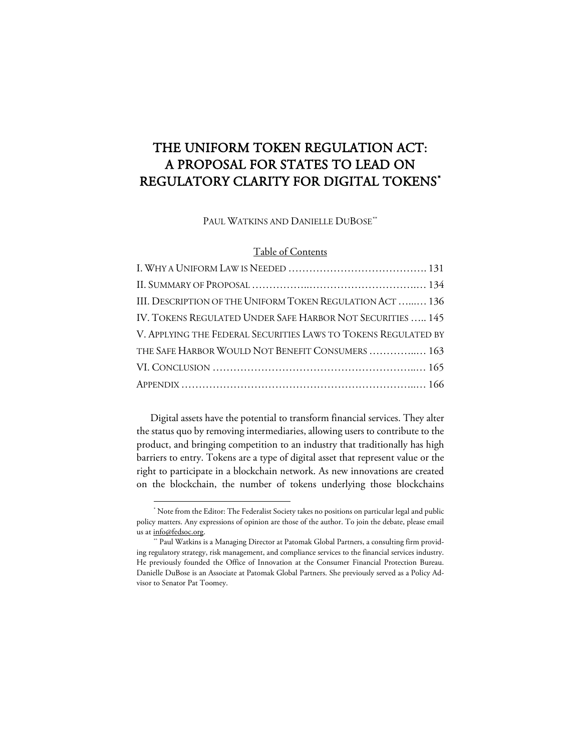# THE UNIFORM TOKEN REGULATION ACT: A PROPOSAL FOR STATES TO LEAD ON REGULATORY CLARITY FOR DIGITAL TOKENS[\\*](#page-0-0)

PAUL WATKINS AND DANIELLE DUBOSE[\\*\\*](#page-0-1)

# Table of Contents

| III. DESCRIPTION OF THE UNIFORM TOKEN REGULATION ACT  136      |
|----------------------------------------------------------------|
| IV. TOKENS REGULATED UNDER SAFE HARBOR NOT SECURITIES  145     |
| V. APPLYING THE FEDERAL SECURITIES LAWS TO TOKENS REGULATED BY |
| THE SAFE HARBOR WOULD NOT BENEFIT CONSUMERS  163               |
|                                                                |
|                                                                |
|                                                                |

Digital assets have the potential to transform financial services. They alter the status quo by removing intermediaries, allowing users to contribute to the product, and bringing competition to an industry that traditionally has high barriers to entry. Tokens are a type of digital asset that represent value or the right to participate in a blockchain network. As new innovations are created on the blockchain, the number of tokens underlying those blockchains

<span id="page-0-0"></span><sup>\*</sup> Note from the Editor: The Federalist Society takes no positions on particular legal and public policy matters. Any expressions of opinion are those of the author. To join the debate, please email

<span id="page-0-1"></span>us at <u>info@fedsoc.org</u>.<br>" Paul Watkins is a Managing Director at Patomak Global Partners, a consulting firm providing regulatory strategy, risk management, and compliance services to the financial services industry. He previously founded the Office of Innovation at the Consumer Financial Protection Bureau. Danielle DuBose is an Associate at Patomak Global Partners. She previously served as a Policy Advisor to Senator Pat Toomey.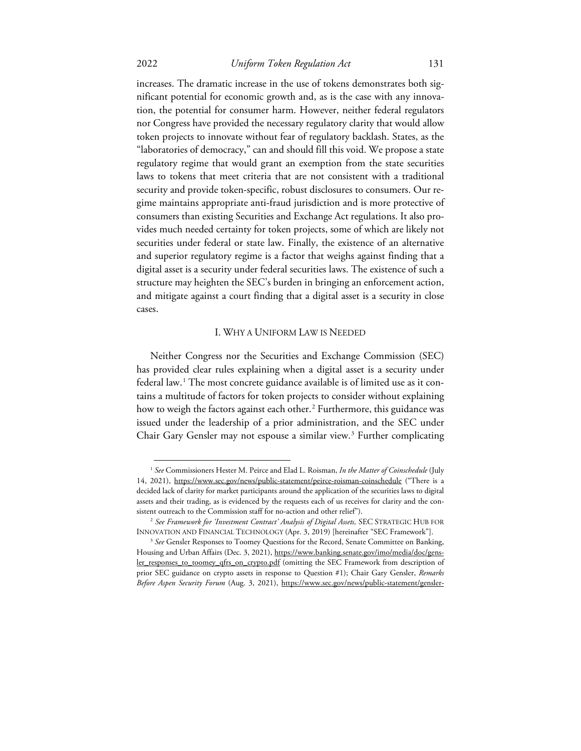# 2022 *Uniform Token Regulation Act* 131

increases. The dramatic increase in the use of tokens demonstrates both significant potential for economic growth and, as is the case with any innovation, the potential for consumer harm. However, neither federal regulators nor Congress have provided the necessary regulatory clarity that would allow token projects to innovate without fear of regulatory backlash. States, as the "laboratories of democracy," can and should fill this void. We propose a state regulatory regime that would grant an exemption from the state securities laws to tokens that meet criteria that are not consistent with a traditional security and provide token-specific, robust disclosures to consumers. Our regime maintains appropriate anti-fraud jurisdiction and is more protective of consumers than existing Securities and Exchange Act regulations. It also provides much needed certainty for token projects, some of which are likely not securities under federal or state law. Finally, the existence of an alternative and superior regulatory regime is a factor that weighs against finding that a digital asset is a security under federal securities laws. The existence of such a

structure may heighten the SEC's burden in bringing an enforcement action, and mitigate against a court finding that a digital asset is a security in close cases.

#### I. WHY A UNIFORM LAW IS NEEDED

Neither Congress nor the Securities and Exchange Commission (SEC) has provided clear rules explaining when a digital asset is a security under federal law.[1](#page-1-0) The most concrete guidance available is of limited use as it contains a multitude of factors for token projects to consider without explaining how to weigh the factors against each other.<sup>[2](#page-1-1)</sup> Furthermore, this guidance was issued under the leadership of a prior administration, and the SEC under Chair Gary Gensler may not espouse a similar view.<sup>[3](#page-1-2)</sup> Further complicating

<span id="page-1-0"></span><sup>1</sup> *See* Commissioners Hester M. Peirce and Elad L. Roisman, *In the Matter of Coinschedule* (July 14, 2021), https://www.sec.gov/news/public-statement/peirce-roisman-coinschedule ("There is a decided lack of clarity for market participants around the application of the securities laws to digital assets and their trading, as is evidenced by the requests each of us receives for clarity and the consistent outreach to the Commission staff for no-action and other relief").

<sup>&</sup>lt;sup>2</sup> See Framework for 'Investment Contract' Analysis of Digital Assets, SEC STRATEGIC HUB FOR

<span id="page-1-2"></span><span id="page-1-1"></span>INNOVATION AND FINANCIAL TECHNOLOGY (Apr. 3, 2019) [hereinafter "SEC Framework"]. 3 *See* Gensler Responses to Toomey Questions for the Record, Senate Committee on Banking, Housing and Urban Affairs (Dec. 3, 2021), https://www.banking.senate.gov/imo/media/doc/gensler\_responses\_to\_toomey\_qfrs\_on\_crypto.pdf (omitting the SEC Framework from description of prior SEC guidance on crypto assets in response to Question #1); Chair Gary Gensler, *Remarks Before Aspen Security Forum* (Aug. 3, 2021), https://www.sec.gov/news/public-statement/gensler-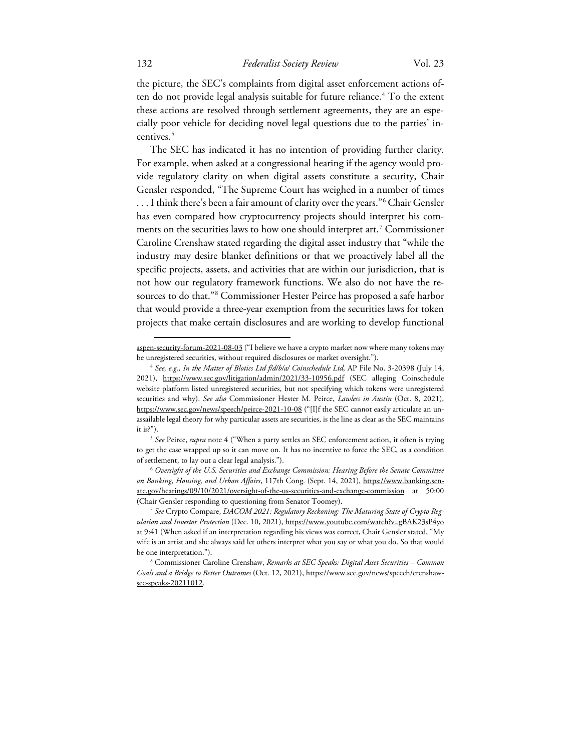the picture, the SEC's complaints from digital asset enforcement actions of-ten do not provide legal analysis suitable for future reliance.<sup>[4](#page-2-0)</sup> To the extent these actions are resolved through settlement agreements, they are an especially poor vehicle for deciding novel legal questions due to the parties' in-centives.<sup>[5](#page-2-1)</sup>

The SEC has indicated it has no intention of providing further clarity. For example, when asked at a congressional hearing if the agency would provide regulatory clarity on when digital assets constitute a security, Chair Gensler responded, "The Supreme Court has weighed in a number of times ... I think there's been a fair amount of clarity over the years."<sup>6</sup> Chair Gensler has even compared how cryptocurrency projects should interpret his comments on the securities laws to how one should interpret art.[7](#page-2-3) Commissioner Caroline Crenshaw stated regarding the digital asset industry that "while the industry may desire blanket definitions or that we proactively label all the specific projects, assets, and activities that are within our jurisdiction, that is not how our regulatory framework functions. We also do not have the resources to do that."[8](#page-2-4) Commissioner Hester Peirce has proposed a safe harbor that would provide a three-year exemption from the securities laws for token projects that make certain disclosures and are working to develop functional

aspen-security-forum-2021-08-03 ("I believe we have a crypto market now where many tokens may be unregistered securities, without required disclosures or market oversight."). 4 *See, e.g., In the Matter of Blotics Ltd f/d/b/a/ Coinschedule Ltd,* AP File No. 3-20398 (July 14,

<span id="page-2-0"></span><sup>2021),</sup> https://www.sec.gov/litigation/admin/2021/33-10956.pdf (SEC alleging Coinschedule website platform listed unregistered securities, but not specifying which tokens were unregistered securities and why). *See also* Commissioner Hester M. Peirce, *Lawless in Austin* (Oct. 8, 2021), https://www.sec.gov/news/speech/peirce-2021-10-08 ("[I]f the SEC cannot easily articulate an unassailable legal theory for why particular assets are securities, is the line as clear as the SEC maintains it is?"). 5 *See* Peirce, *supra* note 4 ("When a party settles an SEC enforcement action, it often is trying

<span id="page-2-1"></span>to get the case wrapped up so it can move on. It has no incentive to force the SEC, as a condition of settlement, to lay out a clear legal analysis."). 6 *Oversight of the U.S. Securities and Exchange Commission: Hearing Before the Senate Committee* 

<span id="page-2-2"></span>*on Banking, Housing, and Urban Affairs*, 117th Cong. (Sept. 14, 2021), https://www.banking.senate.gov/hearings/09/10/2021/oversight-of-the-us-securities-and-exchange-commission at 50:00 (Chair Gensler responding to questioning from Senator Toomey).

<span id="page-2-3"></span><sup>7</sup> *See* Crypto Compare, *DACOM 2021: Regulatory Reckoning: The Maturing State of Crypto Regulation and Investor Protection* (Dec. 10, 2021), https://www.youtube.com/watch?v=gBAK23sP4yo at 9:41 (When asked if an interpretation regarding his views was correct, Chair Gensler stated, "My wife is an artist and she always said let others interpret what you say or what you do. So that would be one interpretation.").

<span id="page-2-4"></span><sup>8</sup> Commissioner Caroline Crenshaw, *Remarks at SEC Speaks: Digital Asset Securities – Common Goals and a Bridge to Better Outcomes* (Oct. 12, 2021), https://www.sec.gov/news/speech/crenshawsec-speaks-20211012.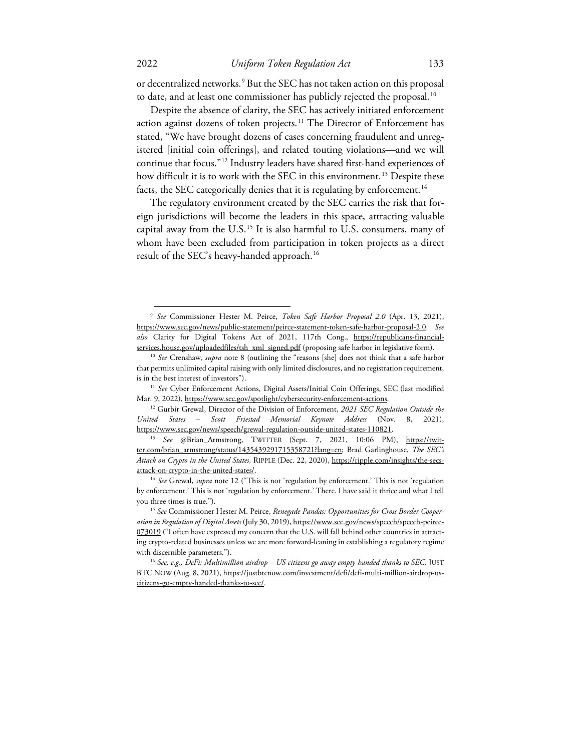or decentralized networks.<sup>[9](#page-3-0)</sup> But the SEC has not taken action on this proposal to date, and at least one commissioner has publicly rejected the proposal.<sup>10</sup>

Despite the absence of clarity, the SEC has actively initiated enforcement action against dozens of token projects.<sup>[11](#page-3-2)</sup> The Director of Enforcement has stated, "We have brought dozens of cases concerning fraudulent and unregistered [initial coin offerings], and related touting violations—and we will continue that focus."[12](#page-3-3) Industry leaders have shared first-hand experiences of how difficult it is to work with the SEC in this environment.<sup>[13](#page-3-4)</sup> Despite these facts, the SEC categorically denies that it is regulating by enforcement.<sup>[14](#page-3-5)</sup>

The regulatory environment created by the SEC carries the risk that foreign jurisdictions will become the leaders in this space, attracting valuable capital away from the  $U.S.<sup>15</sup>$  $U.S.<sup>15</sup>$  $U.S.<sup>15</sup>$  It is also harmful to U.S. consumers, many of whom have been excluded from participation in token projects as a direct result of the SEC's heavy-handed approach.<sup>[16](#page-3-7)</sup>

<span id="page-3-0"></span><sup>9</sup> *See* Commissioner Hester M. Peirce, *Token Safe Harbor Proposal 2.0* (Apr. 13, 2021), https://www.sec.gov/news/public-statement/peirce-statement-token-safe-harbor-proposal-2.0. *See also* Clarity for Digital Tokens Act of 2021, 117th Cong., https://republicans-financialservices.house.gov/uploadedfiles/tsh\_xml\_signed.pdf (proposing safe harbor in legislative form). 10 *See* Crenshaw, *supra* note 8 (outlining the "reasons [she] does not think that a safe harbor

<span id="page-3-1"></span>that permits unlimited capital raising with only limited disclosures, and no registration requirement, is in the best interest of investors"). 11 *See* Cyber Enforcement Actions, Digital Assets/Initial Coin Offerings, SEC (last modified

<span id="page-3-3"></span><span id="page-3-2"></span>Mar. 9, 2022), https://www.sec.gov/spotlight/cybersecurity-enforcement-actions. 12 Gurbir Grewal, Director of the Division of Enforcement, *2021 SEC Regulation Outside the United States – Scott Friestad Memorial Keynote Address* (Nov. 8, 2021),

<span id="page-3-4"></span>https://www.sec.gov/news/speech/grewal-regulation-outside-united-states-110821. 13 *See* @Brian\_Armstrong, TWITTER (Sept. 7, 2021, 10:06 PM), https://twitter.com/brian\_armstrong/status/1435439291715358721?lang=en; Brad Garlinghouse, *The SEC's Attack on Crypto in the United States,* RIPPLE (Dec. 22, 2020), https://ripple.com/insights/the-secsattack-on-crypto-in-the-united-states/. 14 *See* Grewal, *supra* note 12 ("This is not 'regulation by enforcement.' This is not 'regulation

<span id="page-3-5"></span>by enforcement.' This is not 'regulation by enforcement.' There. I have said it thrice and what I tell you three times is true."). 15 *See* Commissioner Hester M. Peirce, *Renegade Pandas: Opportunities for Cross Border Cooper-*

<span id="page-3-6"></span>*ation in Regulation of Digital Assets* (July 30, 2019), https://www.sec.gov/news/speech/speech-peirce-073019 ("I often have expressed my concern that the U.S. will fall behind other countries in attracting crypto-related businesses unless we are more forward-leaning in establishing a regulatory regime with discernible parameters."). 16 *See, e.g., DeFi: Multimillion airdrop – US citizens go away empty-handed thanks to SEC,* JUST

<span id="page-3-7"></span>BTC NOW (Aug. 8, 2021), https://justbtcnow.com/investment/defi/defi-multi-million-airdrop-uscitizens-go-empty-handed-thanks-to-sec/.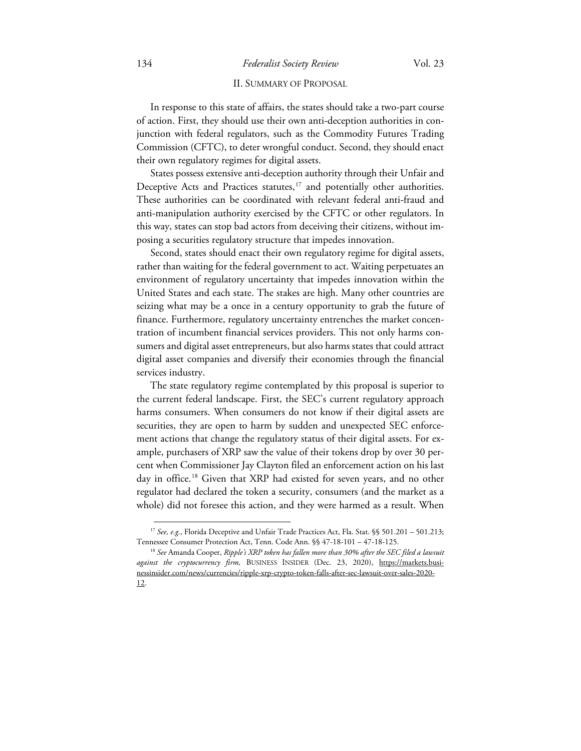# 134 *Federalist Society Review* Vol. 23

# II. SUMMARY OF PROPOSAL

In response to this state of affairs, the states should take a two-part course of action. First, they should use their own anti-deception authorities in conjunction with federal regulators, such as the Commodity Futures Trading Commission (CFTC), to deter wrongful conduct. Second, they should enact their own regulatory regimes for digital assets.

States possess extensive anti-deception authority through their Unfair and Deceptive Acts and Practices statutes,<sup>[17](#page-4-0)</sup> and potentially other authorities. These authorities can be coordinated with relevant federal anti-fraud and anti-manipulation authority exercised by the CFTC or other regulators. In this way, states can stop bad actors from deceiving their citizens, without imposing a securities regulatory structure that impedes innovation.

Second, states should enact their own regulatory regime for digital assets, rather than waiting for the federal government to act. Waiting perpetuates an environment of regulatory uncertainty that impedes innovation within the United States and each state. The stakes are high. Many other countries are seizing what may be a once in a century opportunity to grab the future of finance. Furthermore, regulatory uncertainty entrenches the market concentration of incumbent financial services providers. This not only harms consumers and digital asset entrepreneurs, but also harms states that could attract digital asset companies and diversify their economies through the financial services industry.

The state regulatory regime contemplated by this proposal is superior to the current federal landscape. First, the SEC's current regulatory approach harms consumers. When consumers do not know if their digital assets are securities, they are open to harm by sudden and unexpected SEC enforcement actions that change the regulatory status of their digital assets. For example, purchasers of XRP saw the value of their tokens drop by over 30 percent when Commissioner Jay Clayton filed an enforcement action on his last day in office.<sup>[18](#page-4-1)</sup> Given that XRP had existed for seven years, and no other regulator had declared the token a security, consumers (and the market as a whole) did not foresee this action, and they were harmed as a result. When

<span id="page-4-0"></span><sup>&</sup>lt;sup>17</sup> See, e.g., Florida Deceptive and Unfair Trade Practices Act, Fla. Stat. §§ 501.201 - 501.213; Tennessee Consumer Protection Act, Tenn. Code Ann. §§ 47-18-101 – 47-18-125. 18 *See* Amanda Cooper, *Ripple's XRP token has fallen more than 30% after the SEC filed a lawsuit* 

<span id="page-4-1"></span>against the cryptocurrency firm, BUSINESS INSIDER (Dec. 23, 2020), https://markets.businessinsider.com/news/currencies/ripple-xrp-crypto-token-falls-after-sec-lawsuit-over-sales-2020- 12.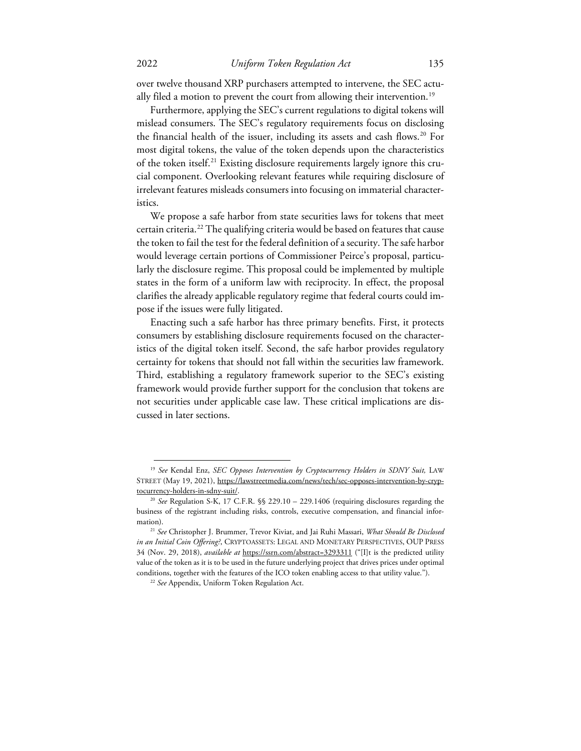over twelve thousand XRP purchasers attempted to intervene, the SEC actu-ally filed a motion to prevent the court from allowing their intervention.<sup>[19](#page-5-0)</sup>

Furthermore, applying the SEC's current regulations to digital tokens will mislead consumers. The SEC's regulatory requirements focus on disclosing the financial health of the issuer, including its assets and cash flows.<sup>[20](#page-5-1)</sup> For most digital tokens, the value of the token depends upon the characteristics of the token itself.[21](#page-5-2) Existing disclosure requirements largely ignore this crucial component. Overlooking relevant features while requiring disclosure of irrelevant features misleads consumers into focusing on immaterial characteristics.

We propose a safe harbor from state securities laws for tokens that meet certain criteria.[22](#page-5-3) The qualifying criteria would be based on features that cause the token to fail the test for the federal definition of a security. The safe harbor would leverage certain portions of Commissioner Peirce's proposal, particularly the disclosure regime. This proposal could be implemented by multiple states in the form of a uniform law with reciprocity. In effect, the proposal clarifies the already applicable regulatory regime that federal courts could impose if the issues were fully litigated.

Enacting such a safe harbor has three primary benefits. First, it protects consumers by establishing disclosure requirements focused on the characteristics of the digital token itself. Second, the safe harbor provides regulatory certainty for tokens that should not fall within the securities law framework. Third, establishing a regulatory framework superior to the SEC's existing framework would provide further support for the conclusion that tokens are not securities under applicable case law. These critical implications are discussed in later sections.

<span id="page-5-0"></span><sup>&</sup>lt;sup>19</sup> See Kendal Enz, *SEC Opposes Intervention by Cryptocurrency Holders in SDNY Suit*, LAW STREET (May 19, 2021), https://lawstreetmedia.com/news/tech/sec-opposes-intervention-by-cryptocurrency-holders-in-sdny-suit/. 20 *See* Regulation S-K, 17 C.F.R. §§ 229.10 – 229.1406 (requiring disclosures regarding the

<span id="page-5-1"></span>business of the registrant including risks, controls, executive compensation, and financial infor-

<span id="page-5-3"></span><span id="page-5-2"></span>mation). 21 *See* Christopher J. Brummer, Trevor Kiviat, and Jai Ruhi Massari, *What Should Be Disclosed in an Initial Coin Offering?*, CRYPTOASSETS: LEGAL AND MONETARY PERSPECTIVES, OUP PRESS 34 (Nov. 29, 2018), *available at* https://ssrn.com/abstract=3293311 ("[I]t is the predicted utility value of the token as it is to be used in the future underlying project that drives prices under optimal conditions, together with the features of the ICO token enabling access to that utility value.").

<sup>22</sup> *See* Appendix, Uniform Token Regulation Act.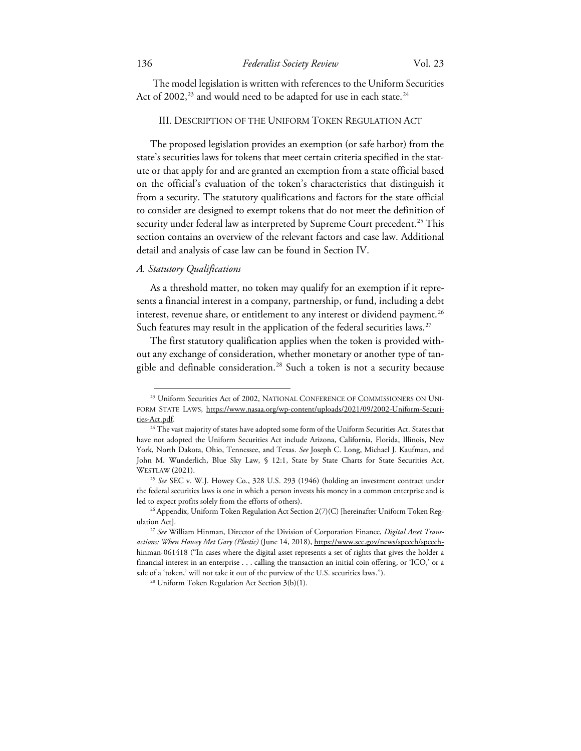The model legislation is written with references to the Uniform Securities Act of 2002,<sup>[23](#page-6-0)</sup> and would need to be adapted for use in each state.<sup>[24](#page-6-1)</sup>

# III. DESCRIPTION OF THE UNIFORM TOKEN REGULATION ACT

The proposed legislation provides an exemption (or safe harbor) from the state's securities laws for tokens that meet certain criteria specified in the statute or that apply for and are granted an exemption from a state official based on the official's evaluation of the token's characteristics that distinguish it from a security. The statutory qualifications and factors for the state official to consider are designed to exempt tokens that do not meet the definition of security under federal law as interpreted by Supreme Court precedent.<sup>[25](#page-6-2)</sup> This section contains an overview of the relevant factors and case law. Additional detail and analysis of case law can be found in Section IV.

#### *A. Statutory Qualifications*

As a threshold matter, no token may qualify for an exemption if it represents a financial interest in a company, partnership, or fund, including a debt interest, revenue share, or entitlement to any interest or dividend payment.<sup>[26](#page-6-3)</sup> Such features may result in the application of the federal securities laws.<sup>27</sup>

The first statutory qualification applies when the token is provided without any exchange of consideration, whether monetary or another type of tan-gible and definable consideration.<sup>[28](#page-6-5)</sup> Such a token is not a security because

<span id="page-6-0"></span><sup>&</sup>lt;sup>23</sup> Uniform Securities Act of 2002, NATIONAL CONFERENCE OF COMMISSIONERS ON UNI-FORM STATE LAWS, https://www.nasaa.org/wp-content/uploads/2021/09/2002-Uniform-Securi-

<span id="page-6-1"></span>ties-Act.pdf. 24 The vast majority of states have adopted some form of the Uniform Securities Act. States that have not adopted the Uniform Securities Act include Arizona, California, Florida, Illinois, New York, North Dakota, Ohio, Tennessee, and Texas. *See* Joseph C. Long, Michael J. Kaufman, and John M. Wunderlich, Blue Sky Law, § 12:1, State by State Charts for State Securities Act, WESTLAW (2021). 25 *See* SEC v. W.J. Howey Co., 328 U.S. 293 (1946) (holding an investment contract under

<span id="page-6-2"></span>the federal securities laws is one in which a person invests his money in a common enterprise and is led to expect profits solely from the efforts of others). 26 Appendix, Uniform Token Regulation Act Section 2(7)(C) [hereinafter Uniform Token Reg-

<span id="page-6-3"></span>ulation Act]. 27 *See* William Hinman, Director of the Division of Corporation Finance, *Digital Asset Trans-*

<span id="page-6-5"></span><span id="page-6-4"></span>*actions: When Howey Met Gary (Plastic)* (June 14, 2018), https://www.sec.gov/news/speech/speechhinman-061418 ("In cases where the digital asset represents a set of rights that gives the holder a financial interest in an enterprise . . . calling the transaction an initial coin offering, or 'ICO,' or a sale of a 'token,' will not take it out of the purview of the U.S. securities laws."). 28 Uniform Token Regulation Act Section 3(b)(1).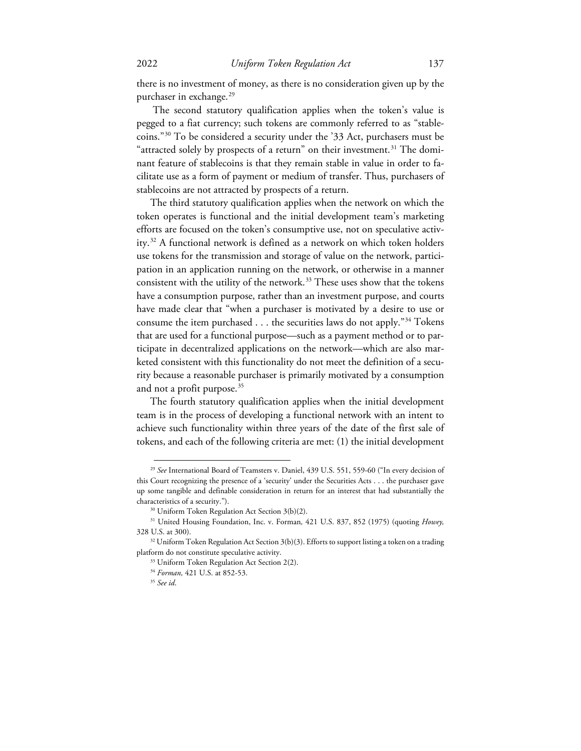there is no investment of money, as there is no consideration given up by the purchaser in exchange.<sup>[29](#page-7-0)</sup>

The second statutory qualification applies when the token's value is pegged to a fiat currency; such tokens are commonly referred to as "stablecoins."[30](#page-7-1) To be considered a security under the '33 Act, purchasers must be "attracted solely by prospects of a return" on their investment.<sup>[31](#page-7-2)</sup> The dominant feature of stablecoins is that they remain stable in value in order to facilitate use as a form of payment or medium of transfer. Thus, purchasers of stablecoins are not attracted by prospects of a return.

The third statutory qualification applies when the network on which the token operates is functional and the initial development team's marketing efforts are focused on the token's consumptive use, not on speculative activ-ity.<sup>[32](#page-7-3)</sup> A functional network is defined as a network on which token holders use tokens for the transmission and storage of value on the network, participation in an application running on the network, or otherwise in a manner consistent with the utility of the network.<sup>[33](#page-7-4)</sup> These uses show that the tokens have a consumption purpose, rather than an investment purpose, and courts have made clear that "when a purchaser is motivated by a desire to use or consume the item purchased  $\dots$  the securities laws do not apply."<sup>[34](#page-7-5)</sup> Tokens that are used for a functional purpose—such as a payment method or to participate in decentralized applications on the network—which are also marketed consistent with this functionality do not meet the definition of a security because a reasonable purchaser is primarily motivated by a consumption and not a profit purpose.<sup>[35](#page-7-6)</sup>

The fourth statutory qualification applies when the initial development team is in the process of developing a functional network with an intent to achieve such functionality within three years of the date of the first sale of tokens, and each of the following criteria are met: (1) the initial development

<span id="page-7-0"></span><sup>29</sup> *See* International Board of Teamsters v. Daniel, 439 U.S. 551, 559-60 ("In every decision of this Court recognizing the presence of a 'security' under the Securities Acts . . . the purchaser gave up some tangible and definable consideration in return for an interest that had substantially the characteristics of a security."). 30 Uniform Token Regulation Act Section 3(b)(2).

<span id="page-7-2"></span><span id="page-7-1"></span><sup>31</sup> United Housing Foundation, Inc. v. Forman*,* 421 U.S. 837, 852 (1975) (quoting *Howey,*  328 U.S. at 300).<br><sup>32</sup> Uniform Token Regulation Act Section 3(b)(3). Efforts to support listing a token on a trading

<span id="page-7-6"></span><span id="page-7-5"></span><span id="page-7-4"></span><span id="page-7-3"></span>platform do not constitute speculative activity.<br><sup>33</sup> Uniform Token Regulation Act Section 2(2).

<sup>34</sup> *Forman,* 421 U.S. at 852-53.

<sup>35</sup> *See id*.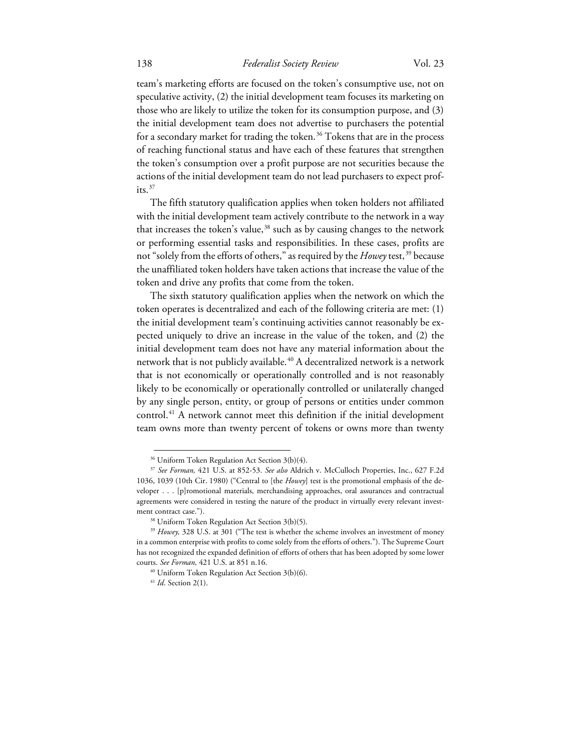# 138 *Federalist Society Review* Vol. 23

team's marketing efforts are focused on the token's consumptive use, not on speculative activity, (2) the initial development team focuses its marketing on those who are likely to utilize the token for its consumption purpose, and (3) the initial development team does not advertise to purchasers the potential for a secondary market for trading the token.<sup>[36](#page-8-0)</sup> Tokens that are in the process of reaching functional status and have each of these features that strengthen the token's consumption over a profit purpose are not securities because the actions of the initial development team do not lead purchasers to expect profits. $37$ 

The fifth statutory qualification applies when token holders not affiliated with the initial development team actively contribute to the network in a way that increases the token's value,<sup>[38](#page-8-2)</sup> such as by causing changes to the network or performing essential tasks and responsibilities. In these cases, profits are not "solely from the efforts of others," as required by the *Howey* test,<sup>[39](#page-8-3)</sup> because the unaffiliated token holders have taken actions that increase the value of the token and drive any profits that come from the token.

The sixth statutory qualification applies when the network on which the token operates is decentralized and each of the following criteria are met: (1) the initial development team's continuing activities cannot reasonably be expected uniquely to drive an increase in the value of the token, and (2) the initial development team does not have any material information about the network that is not publicly available.<sup>[40](#page-8-4)</sup> A decentralized network is a network that is not economically or operationally controlled and is not reasonably likely to be economically or operationally controlled or unilaterally changed by any single person, entity, or group of persons or entities under common control.[41](#page-8-5) A network cannot meet this definition if the initial development team owns more than twenty percent of tokens or owns more than twenty

<sup>&</sup>lt;sup>36</sup> Uniform Token Regulation Act Section 3(b)(4).

<span id="page-8-1"></span><span id="page-8-0"></span><sup>37</sup> *See Forman,* 421 U.S. at 852-53. *See also* Aldrich v. McCulloch Properties, Inc., 627 F.2d 1036, 1039 (10th Cir. 1980) ("Central to [the *Howey*] test is the promotional emphasis of the developer . . . [p]romotional materials, merchandising approaches, oral assurances and contractual agreements were considered in testing the nature of the product in virtually every relevant investment contract case.").<br><sup>38</sup> Uniform Token Regulation Act Section 3(b)(5).

<span id="page-8-5"></span><span id="page-8-4"></span><span id="page-8-3"></span><span id="page-8-2"></span><sup>&</sup>lt;sup>39</sup> *Howey*, 328 U.S. at 301 ("The test is whether the scheme involves an investment of money in a common enterprise with profits to come solely from the efforts of others."). The Supreme Court has not recognized the expanded definition of efforts of others that has been adopted by some lower courts. *See Forman,* 421 U.S. at 851 n.16.<br><sup>40</sup> Uniform Token Regulation Act Section 3(b)(6).<br><sup>41</sup> *Id*. Section 2(1).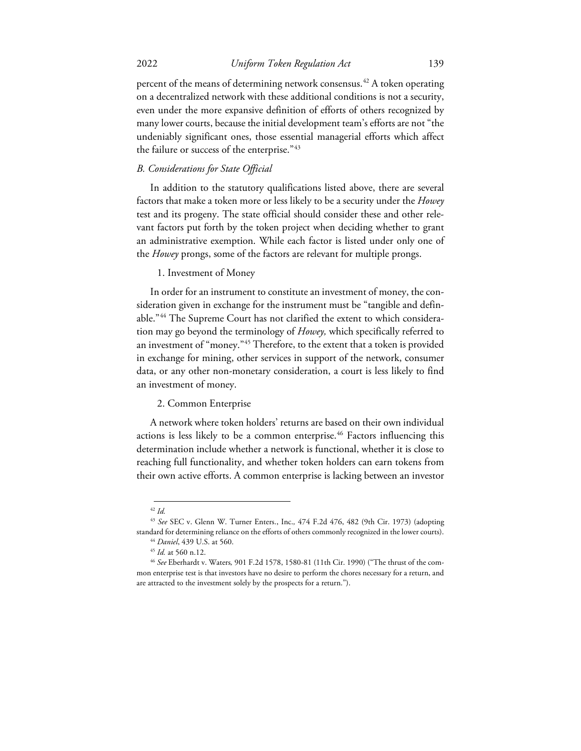percent of the means of determining network consensus.<sup>[42](#page-9-0)</sup> A token operating on a decentralized network with these additional conditions is not a security, even under the more expansive definition of efforts of others recognized by many lower courts, because the initial development team's efforts are not "the undeniably significant ones, those essential managerial efforts which affect the failure or success of the enterprise."[43](#page-9-1)

#### *B. Considerations for State Official*

In addition to the statutory qualifications listed above, there are several factors that make a token more or less likely to be a security under the *Howey*  test and its progeny. The state official should consider these and other relevant factors put forth by the token project when deciding whether to grant an administrative exemption. While each factor is listed under only one of the *Howey* prongs, some of the factors are relevant for multiple prongs.

#### 1. Investment of Money

In order for an instrument to constitute an investment of money, the consideration given in exchange for the instrument must be "tangible and definable."[44](#page-9-2) The Supreme Court has not clarified the extent to which consideration may go beyond the terminology of *Howey,* which specifically referred to an investment of "money."[45](#page-9-3) Therefore, to the extent that a token is provided in exchange for mining, other services in support of the network, consumer data, or any other non-monetary consideration, a court is less likely to find an investment of money.

#### 2. Common Enterprise

A network where token holders' returns are based on their own individual actions is less likely to be a common enterprise.<sup>[46](#page-9-4)</sup> Factors influencing this determination include whether a network is functional, whether it is close to reaching full functionality, and whether token holders can earn tokens from their own active efforts. A common enterprise is lacking between an investor

<sup>42</sup> *Id.* 

<span id="page-9-2"></span><span id="page-9-1"></span><span id="page-9-0"></span><sup>43</sup> *See* SEC v. Glenn W. Turner Enters., Inc.*,* 474 F.2d 476, 482 (9th Cir. 1973) (adopting standard for determining reliance on the efforts of others commonly recognized in the lower courts).<br>
<sup>44</sup> Daniel, 439 U.S. at 560.<br>
<sup>45</sup> Id. at 560 n.12.<br>
<sup>46</sup> See Eberhardt v. Waters, 901 F.2d 1578, 1580-81 (11th Cir. 19

<span id="page-9-4"></span><span id="page-9-3"></span>mon enterprise test is that investors have no desire to perform the chores necessary for a return, and are attracted to the investment solely by the prospects for a return.").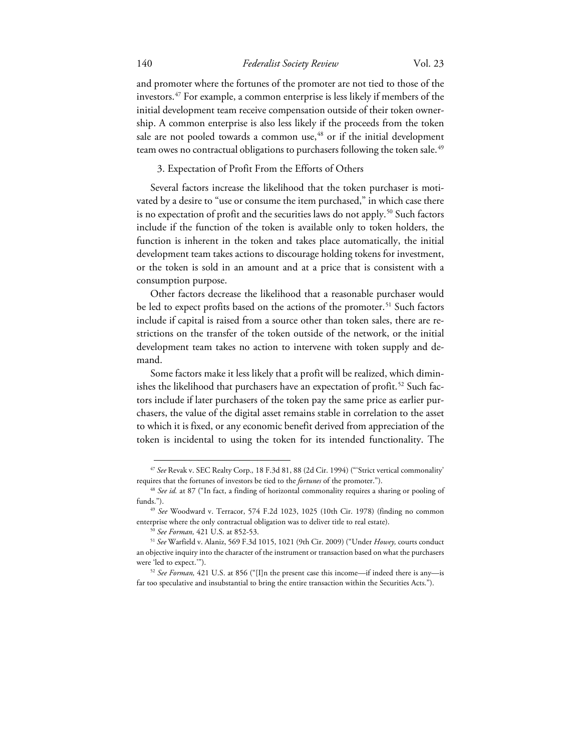and promoter where the fortunes of the promoter are not tied to those of the investors[.47](#page-10-0) For example, a common enterprise is less likely if members of the initial development team receive compensation outside of their token ownership. A common enterprise is also less likely if the proceeds from the token sale are not pooled towards a common use, [48](#page-10-1) or if the initial development team owes no contractual obligations to purchasers following the token sale.<sup>[49](#page-10-2)</sup>

3. Expectation of Profit From the Efforts of Others

Several factors increase the likelihood that the token purchaser is motivated by a desire to "use or consume the item purchased," in which case there is no expectation of profit and the securities laws do not apply.<sup>[50](#page-10-3)</sup> Such factors include if the function of the token is available only to token holders, the function is inherent in the token and takes place automatically, the initial development team takes actions to discourage holding tokens for investment, or the token is sold in an amount and at a price that is consistent with a consumption purpose.

Other factors decrease the likelihood that a reasonable purchaser would be led to expect profits based on the actions of the promoter.<sup>[51](#page-10-4)</sup> Such factors include if capital is raised from a source other than token sales, there are restrictions on the transfer of the token outside of the network, or the initial development team takes no action to intervene with token supply and demand.

Some factors make it less likely that a profit will be realized, which dimin-ishes the likelihood that purchasers have an expectation of profit.<sup>[52](#page-10-5)</sup> Such factors include if later purchasers of the token pay the same price as earlier purchasers, the value of the digital asset remains stable in correlation to the asset to which it is fixed, or any economic benefit derived from appreciation of the token is incidental to using the token for its intended functionality. The

<span id="page-10-0"></span><sup>47</sup> *See* Revak v. SEC Realty Corp.*,* 18 F.3d 81, 88 (2d Cir. 1994) ("'Strict vertical commonality' requires that the fortunes of investors be tied to the *fortunes* of the promoter."). 48 *See id.* at 87 ("In fact, a finding of horizontal commonality requires a sharing or pooling of

<span id="page-10-1"></span>funds.").

<span id="page-10-2"></span><sup>49</sup> *See* Woodward v. Terracor, 574 F.2d 1023, 1025 (10th Cir. 1978) (finding no common enterprise where the only contractual obligation was to deliver title to real estate).

<span id="page-10-4"></span><span id="page-10-3"></span><sup>50</sup> *See Forman,* 421 U.S. at 852-53. 51 *See* Warfield v. Alaniz, 569 F.3d 1015, 1021 (9th Cir. 2009) ("Under *Howey,* courts conduct an objective inquiry into the character of the instrument or transaction based on what the purchasers were 'led to expect.'"). 52 *See Forman,* 421 U.S. at 856 ("[I]n the present case this income—if indeed there is any—is

<span id="page-10-5"></span>far too speculative and insubstantial to bring the entire transaction within the Securities Acts.").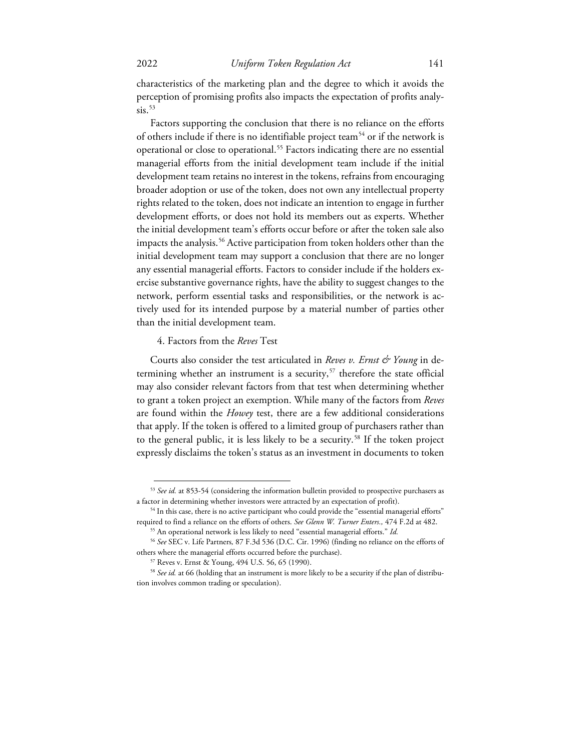characteristics of the marketing plan and the degree to which it avoids the perception of promising profits also impacts the expectation of profits analy $sis.$ <sup>53</sup>

Factors supporting the conclusion that there is no reliance on the efforts of others include if there is no identifiable project team<sup>[54](#page-11-1)</sup> or if the network is operational or close to operational.[55](#page-11-2) Factors indicating there are no essential managerial efforts from the initial development team include if the initial development team retains no interest in the tokens, refrains from encouraging broader adoption or use of the token, does not own any intellectual property rights related to the token, does not indicate an intention to engage in further development efforts, or does not hold its members out as experts. Whether the initial development team's efforts occur before or after the token sale also impacts the analysis.<sup>56</sup> Active participation from token holders other than the initial development team may support a conclusion that there are no longer any essential managerial efforts. Factors to consider include if the holders exercise substantive governance rights, have the ability to suggest changes to the network, perform essential tasks and responsibilities, or the network is actively used for its intended purpose by a material number of parties other than the initial development team.

#### 4. Factors from the *Reves* Test

Courts also consider the test articulated in *Reves v. Ernst & Young* in de-termining whether an instrument is a security,<sup>[57](#page-11-4)</sup> therefore the state official may also consider relevant factors from that test when determining whether to grant a token project an exemption. While many of the factors from *Reves*  are found within the *Howey* test, there are a few additional considerations that apply. If the token is offered to a limited group of purchasers rather than to the general public, it is less likely to be a security.<sup>[58](#page-11-5)</sup> If the token project expressly disclaims the token's status as an investment in documents to token

<span id="page-11-0"></span><sup>53</sup> *See id.* at 853-54 (considering the information bulletin provided to prospective purchasers as a factor in determining whether investors were attracted by an expectation of profit). 54 In this case, there is no active participant who could provide the "essential managerial efforts"

<span id="page-11-1"></span>required to find a reliance on the efforts of others. *See Glenn W. Turner Enters.,* 474 F.2d at 482. 55 An operational network is less likely to need "essential managerial efforts." *Id.* 

<span id="page-11-3"></span><span id="page-11-2"></span><sup>56</sup> *See* SEC v. Life Partners*,* 87 F.3d 536 (D.C. Cir. 1996) (finding no reliance on the efforts of others where the managerial efforts occurred before the purchase). 57 Reves v. Ernst & Young, 494 U.S. 56, 65 (1990).

<span id="page-11-5"></span><span id="page-11-4"></span><sup>58</sup> *See id.* at 66 (holding that an instrument is more likely to be a security if the plan of distribution involves common trading or speculation).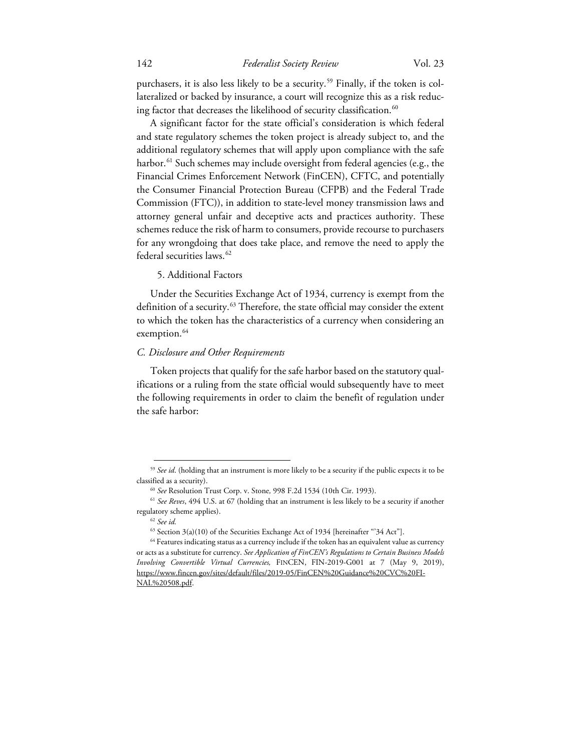purchasers, it is also less likely to be a security.<sup>59</sup> Finally, if the token is collateralized or backed by insurance, a court will recognize this as a risk reducing factor that decreases the likelihood of security classification.<sup>60</sup>

A significant factor for the state official's consideration is which federal and state regulatory schemes the token project is already subject to, and the additional regulatory schemes that will apply upon compliance with the safe harbor.<sup>[61](#page-12-2)</sup> Such schemes may include oversight from federal agencies (e.g., the Financial Crimes Enforcement Network (FinCEN), CFTC, and potentially the Consumer Financial Protection Bureau (CFPB) and the Federal Trade Commission (FTC)), in addition to state-level money transmission laws and attorney general unfair and deceptive acts and practices authority. These schemes reduce the risk of harm to consumers, provide recourse to purchasers for any wrongdoing that does take place, and remove the need to apply the federal securities laws.<sup>[62](#page-12-3)</sup>

5. Additional Factors

Under the Securities Exchange Act of 1934, currency is exempt from the definition of a security.<sup>[63](#page-12-4)</sup> Therefore, the state official may consider the extent to which the token has the characteristics of a currency when considering an exemption.<sup>64</sup>

#### *C. Disclosure and Other Requirements*

Token projects that qualify for the safe harbor based on the statutory qualifications or a ruling from the state official would subsequently have to meet the following requirements in order to claim the benefit of regulation under the safe harbor:

<span id="page-12-1"></span><span id="page-12-0"></span><sup>&</sup>lt;sup>59</sup> See id. (holding that an instrument is more likely to be a security if the public expects it to be classified as a security). 60 *See* Resolution Trust Corp. v. Stone*,* 998 F.2d 1534 (10th Cir. 1993). 61 *See Reves*, 494 U.S. at 67 (holding that an instrument is less likely to be a security if another

<span id="page-12-2"></span>regulatory scheme applies). 62 *See id.* 

 $^{63}$  Section 3(a)(10) of the Securities Exchange Act of 1934 [hereinafter  $\lq$ 34 Act"].

<span id="page-12-5"></span><span id="page-12-4"></span><span id="page-12-3"></span><sup>&</sup>lt;sup>64</sup> Features indicating status as a currency include if the token has an equivalent value as currency or acts as a substitute for currency. *See Application of FinCEN's Regulations to Certain Business Models Involving Convertible Virtual Currencies,* FINCEN, FIN-2019-G001 at 7 (May 9, 2019), https://www.fincen.gov/sites/default/files/2019-05/FinCEN%20Guidance%20CVC%20FI-NAL%20508.pdf.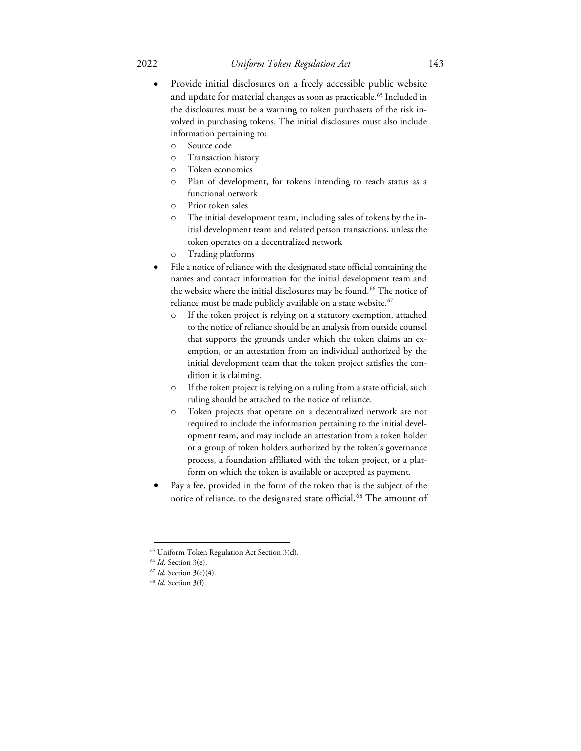- Provide initial disclosures on a freely accessible public website and update for material changes as soon as practicable.<sup>[65](#page-13-0)</sup> Included in the disclosures must be a warning to token purchasers of the risk involved in purchasing tokens. The initial disclosures must also include information pertaining to:
	- o Source code
	- o Transaction history
	- o Token economics
	- o Plan of development, for tokens intending to reach status as a functional network
	- o Prior token sales
	- o The initial development team, including sales of tokens by the initial development team and related person transactions, unless the token operates on a decentralized network
	- o Trading platforms
- File a notice of reliance with the designated state official containing the names and contact information for the initial development team and the website where the initial disclosures may be found.<sup>[66](#page-13-1)</sup> The notice of reliance must be made publicly available on a state website.<sup>[67](#page-13-2)</sup>
	- o If the token project is relying on a statutory exemption, attached to the notice of reliance should be an analysis from outside counsel that supports the grounds under which the token claims an exemption, or an attestation from an individual authorized by the initial development team that the token project satisfies the condition it is claiming.
	- o If the token project is relying on a ruling from a state official, such ruling should be attached to the notice of reliance.
	- o Token projects that operate on a decentralized network are not required to include the information pertaining to the initial development team, and may include an attestation from a token holder or a group of token holders authorized by the token's governance process, a foundation affiliated with the token project, or a platform on which the token is available or accepted as payment.
- Pay a fee, provided in the form of the token that is the subject of the notice of reliance, to the designated state official.<sup>68</sup> The amount of

<span id="page-13-0"></span><sup>65</sup> Uniform Token Regulation Act Section 3(d).

<span id="page-13-2"></span><span id="page-13-1"></span><sup>66</sup> *Id*. Section 3(e). 67 *Id*. Section 3(e)(4). 68 *Id*. Section 3(f).

<span id="page-13-3"></span>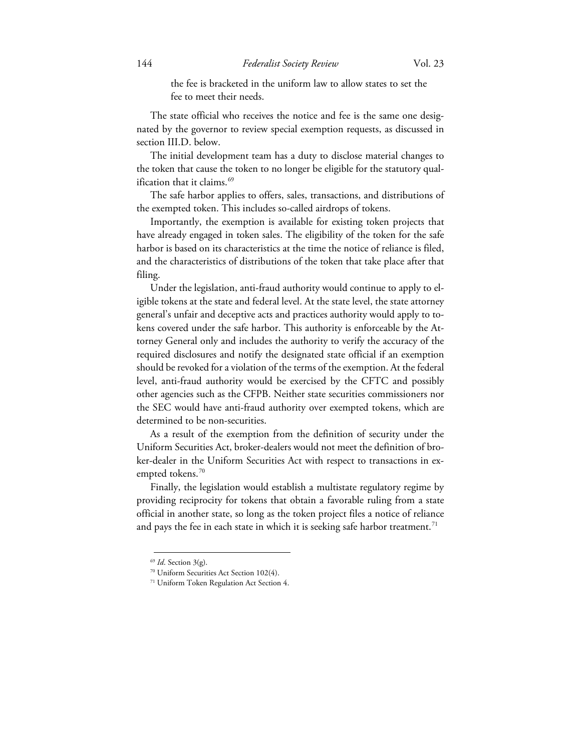the fee is bracketed in the uniform law to allow states to set the fee to meet their needs.

The state official who receives the notice and fee is the same one designated by the governor to review special exemption requests, as discussed in section III.D. below.

The initial development team has a duty to disclose material changes to the token that cause the token to no longer be eligible for the statutory qual-ification that it claims.<sup>[69](#page-14-0)</sup>

The safe harbor applies to offers, sales, transactions, and distributions of the exempted token. This includes so-called airdrops of tokens.

Importantly, the exemption is available for existing token projects that have already engaged in token sales. The eligibility of the token for the safe harbor is based on its characteristics at the time the notice of reliance is filed, and the characteristics of distributions of the token that take place after that filing.

Under the legislation, anti-fraud authority would continue to apply to eligible tokens at the state and federal level. At the state level, the state attorney general's unfair and deceptive acts and practices authority would apply to tokens covered under the safe harbor. This authority is enforceable by the Attorney General only and includes the authority to verify the accuracy of the required disclosures and notify the designated state official if an exemption should be revoked for a violation of the terms of the exemption. At the federal level, anti-fraud authority would be exercised by the CFTC and possibly other agencies such as the CFPB. Neither state securities commissioners nor the SEC would have anti-fraud authority over exempted tokens, which are determined to be non-securities.

As a result of the exemption from the definition of security under the Uniform Securities Act, broker-dealers would not meet the definition of broker-dealer in the Uniform Securities Act with respect to transactions in ex-empted tokens.<sup>[70](#page-14-1)</sup>

Finally, the legislation would establish a multistate regulatory regime by providing reciprocity for tokens that obtain a favorable ruling from a state official in another state, so long as the token project files a notice of reliance and pays the fee in each state in which it is seeking safe harbor treatment.<sup>[71](#page-14-2)</sup>

<span id="page-14-0"></span><sup>69</sup> *Id*. Section 3(g).

<span id="page-14-1"></span><sup>70</sup> Uniform Securities Act Section 102(4).

<span id="page-14-2"></span><sup>71</sup> Uniform Token Regulation Act Section 4.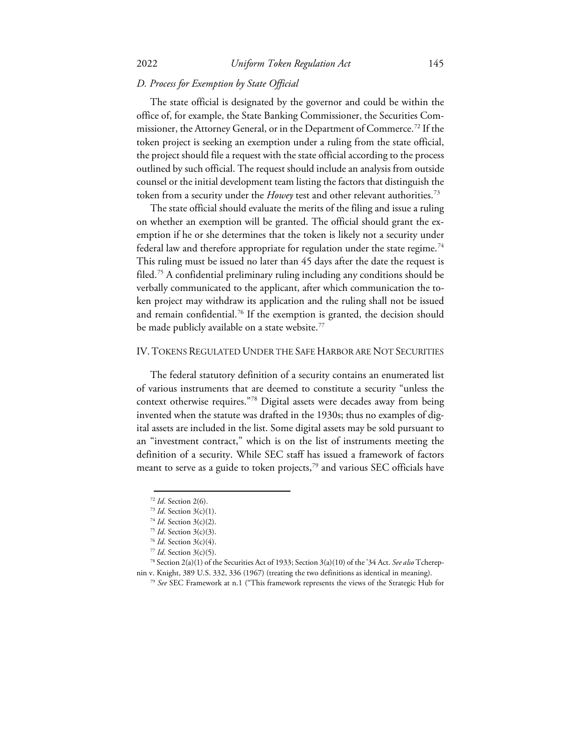# *D. Process for Exemption by State Official*

The state official is designated by the governor and could be within the office of, for example, the State Banking Commissioner, the Securities Com-missioner, the Attorney General, or in the Department of Commerce.<sup>[72](#page-15-0)</sup> If the token project is seeking an exemption under a ruling from the state official, the project should file a request with the state official according to the process outlined by such official. The request should include an analysis from outside counsel or the initial development team listing the factors that distinguish the token from a security under the *Howey* test and other relevant authorities.[73](#page-15-1)

The state official should evaluate the merits of the filing and issue a ruling on whether an exemption will be granted. The official should grant the exemption if he or she determines that the token is likely not a security under federal law and therefore appropriate for regulation under the state regime.<sup>[74](#page-15-2)</sup> This ruling must be issued no later than 45 days after the date the request is filed.[75](#page-15-3) A confidential preliminary ruling including any conditions should be verbally communicated to the applicant, after which communication the token project may withdraw its application and the ruling shall not be issued and remain confidential.<sup>76</sup> If the exemption is granted, the decision should be made publicly available on a state website.<sup>[77](#page-15-5)</sup>

## IV. TOKENS REGULATED UNDER THE SAFE HARBOR ARE NOT SECURITIES

The federal statutory definition of a security contains an enumerated list of various instruments that are deemed to constitute a security "unless the context otherwise requires."[78](#page-15-6) Digital assets were decades away from being invented when the statute was drafted in the 1930s; thus no examples of digital assets are included in the list. Some digital assets may be sold pursuant to an "investment contract," which is on the list of instruments meeting the definition of a security. While SEC staff has issued a framework of factors meant to serve as a guide to token projects, $^{79}$  $^{79}$  $^{79}$  and various SEC officials have

<sup>72</sup> *Id*. Section 2(6). 73 *Id*. Section 3(c)(1).

<sup>74</sup> *Id*. Section 3(c)(2). 75 *Id*. Section 3(c)(3). 76 *Id*. Section 3(c)(4).

<span id="page-15-7"></span><span id="page-15-6"></span><span id="page-15-5"></span><span id="page-15-4"></span><span id="page-15-3"></span><span id="page-15-2"></span><span id="page-15-1"></span><span id="page-15-0"></span><sup>77</sup> *Id*. Section 3(c)(5). 78 Section 2(a)(1) of the Securities Act of 1933; Section 3(a)(10) of the'34 Act. *See also* Tcherepnin v. Knight, 389 U.S. 332, 336 (1967) (treating the two definitions as identical in meaning). 79 *See* SEC Framework at n.1 ("This framework represents the views of the Strategic Hub for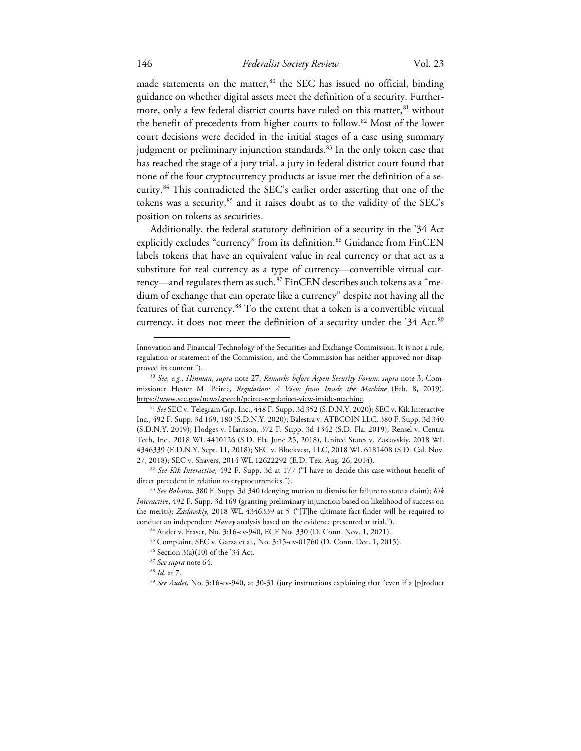## 146 *Federalist Society Review* Vol. 23

made statements on the matter,<sup>[80](#page-16-0)</sup> the SEC has issued no official, binding guidance on whether digital assets meet the definition of a security. Further-more, only a few federal district courts have ruled on this matter, <sup>[81](#page-16-1)</sup> without the benefit of precedents from higher courts to follow.<sup>[82](#page-16-2)</sup> Most of the lower court decisions were decided in the initial stages of a case using summary judgment or preliminary injunction standards.<sup>[83](#page-16-3)</sup> In the only token case that has reached the stage of a jury trial, a jury in federal district court found that none of the four cryptocurrency products at issue met the definition of a security.[84](#page-16-4) This contradicted the SEC's earlier order asserting that one of the tokens was a security,<sup>[85](#page-16-5)</sup> and it raises doubt as to the validity of the SEC's position on tokens as securities.

Additionally, the federal statutory definition of a security in the '34 Act explicitly excludes "currency" from its definition.<sup>[86](#page-16-6)</sup> Guidance from FinCEN labels tokens that have an equivalent value in real currency or that act as a substitute for real currency as a type of currency—convertible virtual currency—and regulates them as such.[87](#page-16-7) FinCEN describes such tokens as a "medium of exchange that can operate like a currency" despite not having all the features of fiat currency.<sup>[88](#page-16-8)</sup> To the extent that a token is a convertible virtual currency, it does not meet the definition of a security under the '34 Act.<sup>[89](#page-16-9)</sup>

Innovation and Financial Technology of the Securities and Exchange Commission. It is not a rule, regulation or statement of the Commission, and the Commission has neither approved nor disapproved its content."). 80 *See, e.g.*, *Hinman*, *supra* note 27; *Remarks before Aspen Security Forum, supra* note 3; Com-

<span id="page-16-0"></span>missioner Hester M. Peirce, *Regulation: A View from Inside the Machine* (Feb. 8, 2019), https://www.sec.gov/news/speech/peirce-regulation-view-inside-machine. 81 *See* SEC v. Telegram Grp. Inc., 448 F. Supp. 3d 352 (S.D.N.Y. 2020); SEC v. Kik Interactive

<span id="page-16-1"></span>Inc., 492 F. Supp. 3d 169, 180 (S.D.N.Y. 2020); Balestra v. ATBCOIN LLC, 380 F. Supp. 3d 340 (S.D.N.Y. 2019); Hodges v. Harrison, 372 F. Supp. 3d 1342 (S.D. Fla. 2019); Rensel v. Centra Tech, Inc.*,* 2018 WL 4410126 (S.D. Fla. June 25, 2018), United States v. Zaslavskiy, 2018 WL 4346339 (E.D.N.Y. Sept. 11, 2018); SEC v. Blockvest, LLC, 2018 WL 6181408 (S.D. Cal. Nov. 27, 2018); SEC v. Shavers, <sup>2014</sup> WL <sup>12622292</sup> (E.D. Tex. Aug. 26, 2014). 82 *See Kik Interactive*, 492 F. Supp. 3d at 177 ("I have to decide this case without benefit of

<span id="page-16-2"></span>direct precedent in relation to cryptocurrencies."). 83 *See Balestra*, 380 F. Supp. 3d 340 (denying motion to dismiss for failure to state a claim); *Kik* 

<span id="page-16-6"></span><span id="page-16-5"></span><span id="page-16-4"></span><span id="page-16-3"></span>*Interactive*, 492 F. Supp. 3d 169 (granting preliminary injunction based on likelihood of success on the merits); *Zaslavskiy*, 2018 WL 4346339 at 5 ("[T]he ultimate fact-finder will be required to conduct an independent *Howey* analysis based on the evidence presented at trial.").<br><sup>84</sup> Audet v. Fraser, No. 3:16-cv-940, ECF No. 330 (D. Conn. Nov. 1, 2021).<br><sup>85</sup> Complaint, SEC v. Garza et al., No. 3:15-cv-01760 (D. Co

<span id="page-16-9"></span><span id="page-16-8"></span>

<span id="page-16-7"></span><sup>&</sup>lt;sup>87</sup> *See supra* note 64.<br><sup>88</sup> *Id.* at 7.<br><sup>89</sup> *See Audet*, No. 3:16-cv-940, at 30-31 (jury instructions explaining that "even if a [p]roduct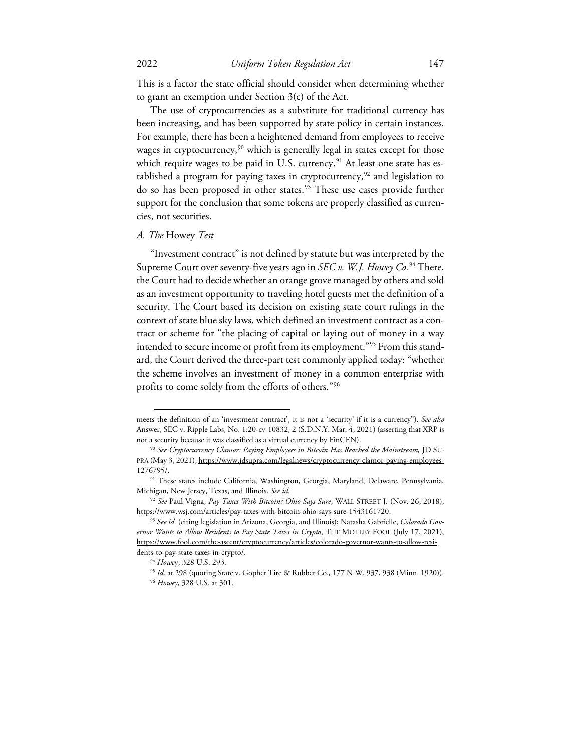This is a factor the state official should consider when determining whether to grant an exemption under Section 3(c) of the Act.

The use of cryptocurrencies as a substitute for traditional currency has been increasing, and has been supported by state policy in certain instances. For example, there has been a heightened demand from employees to receive wages in cryptocurrency,<sup>[90](#page-17-0)</sup> which is generally legal in states except for those which require wages to be paid in U.S. currency.<sup>[91](#page-17-1)</sup> At least one state has es-tablished a program for paying taxes in cryptocurrency,<sup>[92](#page-17-2)</sup> and legislation to do so has been proposed in other states.[93](#page-17-3) These use cases provide further support for the conclusion that some tokens are properly classified as currencies, not securities.

#### *A. The* Howey *Test*

"Investment contract" is not defined by statute but was interpreted by the Supreme Court over seventy-five years ago in *SEC v. W.J. Howey Co.* [94](#page-17-4) There, the Court had to decide whether an orange grove managed by others and sold as an investment opportunity to traveling hotel guests met the definition of a security. The Court based its decision on existing state court rulings in the context of state blue sky laws, which defined an investment contract as a contract or scheme for "the placing of capital or laying out of money in a way intended to secure income or profit from its employment."[95](#page-17-5) From this standard, the Court derived the three-part test commonly applied today: "whether the scheme involves an investment of money in a common enterprise with profits to come solely from the efforts of others."[96](#page-17-6)

meets the definition of an 'investment contract', it is not a 'security' if it is a currency"). *See also*  Answer, SEC v. Ripple Labs, No. 1:20-cv-10832, 2 (S.D.N.Y. Mar. 4, 2021) (asserting that XRP is not a security because it was classified as a virtual currency by FinCEN). 90 *See Cryptocurrency Clamor: Paying Employees in Bitcoin Has Reached the Mainstream,* JD SU-

<span id="page-17-0"></span>PRA (May 3, 2021), https://www.jdsupra.com/legalnews/cryptocurrency-clamor-paying-employees-1276795/.<br><sup>91</sup> These states include California, Washington, Georgia, Maryland, Delaware, Pennsylvania,

<span id="page-17-1"></span>Michigan, New Jersey, Texas, and Illinois. *See id.* 

<span id="page-17-2"></span><sup>92</sup> *See* Paul Vigna, *Pay Taxes With Bitcoin? Ohio Says Sure*, WALL STREET J. (Nov. 26, 2018), https://www.wsj.com/articles/pay-taxes-with-bitcoin-ohio-says-sure-1543161720. 93 *See id.* (citing legislation in Arizona, Georgia, and Illinois); Natasha Gabrielle, *Colorado Gov-*

<span id="page-17-3"></span>*ernor Wants to Allow Residents to Pay State Taxes in Crypto*, THE MOTLEY FOOL (July 17, 2021), https://www.fool.com/the-ascent/cryptocurrency/articles/colorado-governor-wants-to-allow-resi-

<span id="page-17-6"></span><span id="page-17-5"></span><span id="page-17-4"></span>dents-to-pay-state-taxes-in-crypto/.<br><sup>94</sup> *Howey*, 328 U.S. 293.<br><sup>95</sup> *Id.* at 298 (quoting State v. Gopher Tire & Rubber Co., 177 N.W. 937, 938 (Minn. 1920)).<br><sup>96</sup> *Howey*, 328 U.S. at 301.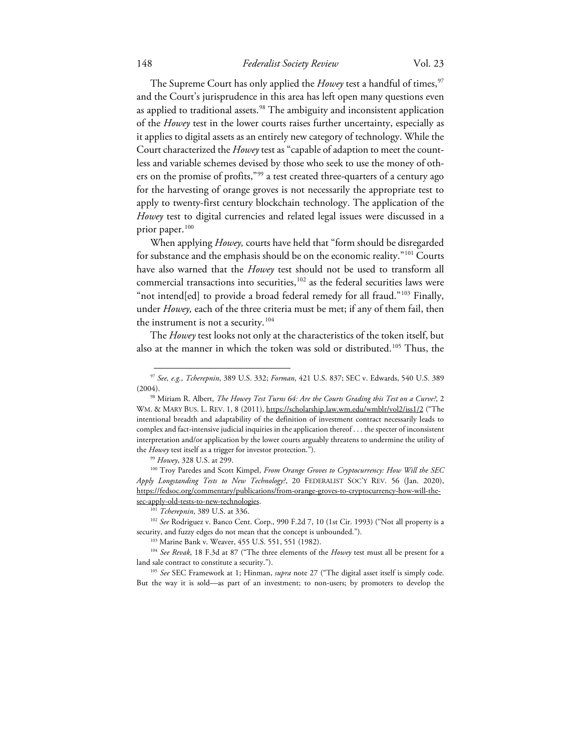# 148 *Federalist Society Review* Vol. 23

The Supreme Court has only applied the *Howey* test a handful of times,<sup>[97](#page-18-0)</sup> and the Court's jurisprudence in this area has left open many questions even as applied to traditional assets.<sup>[98](#page-18-1)</sup> The ambiguity and inconsistent application of the *Howey* test in the lower courts raises further uncertainty, especially as it applies to digital assets as an entirely new category of technology. While the Court characterized the *Howey* test as "capable of adaption to meet the countless and variable schemes devised by those who seek to use the money of oth-ers on the promise of profits,"<sup>[99](#page-18-2)</sup> a test created three-quarters of a century ago for the harvesting of orange groves is not necessarily the appropriate test to apply to twenty-first century blockchain technology. The application of the *Howey* test to digital currencies and related legal issues were discussed in a prior paper.<sup>[100](#page-18-3)</sup>

When applying *Howey,* courts have held that "form should be disregarded for substance and the emphasis should be on the economic reality."[101](#page-18-4) Courts have also warned that the *Howey* test should not be used to transform all commercial transactions into securities,<sup>[102](#page-18-5)</sup> as the federal securities laws were "not intend[ed] to provide a broad federal remedy for all fraud."<sup>[103](#page-18-6)</sup> Finally, under *Howey,* each of the three criteria must be met; if any of them fail, then the instrument is not a security.<sup>[104](#page-18-7)</sup>

The *Howey* test looks not only at the characteristics of the token itself, but also at the manner in which the token was sold or distributed.<sup>[105](#page-18-8)</sup> Thus, the

<span id="page-18-0"></span><sup>97</sup> *See, e.g.*, *Tcherepnin*, 389 U.S. 332; *Forman*, 421 U.S. 837; SEC v. Edwards, 540 U.S. 389 (2004). 98 Miriam R. Albert, *The Howey Test Turns 64: Are the Courts Grading this Test on a Curve?*, 2

<span id="page-18-1"></span>WM. & MARY BUS. L. REV. 1, 8 (2011), https://scholarship.law.wm.edu/wmblr/vol2/iss1/2 ("The intentional breadth and adaptability of the definition of investment contract necessarily leads to complex and fact-intensive judicial inquiries in the application thereof . . . the specter of inconsistent interpretation and/or application by the lower courts arguably threatens to undermine the utility of the *Howey* test itself as a trigger for investor protection.").<br><sup>99</sup> *Howey*, 328 U.S. at 299. 100 Troy Paredes and Scott Kimpel, *From Orange Groves to Cryptocurrency: How Will the SEC* 

<span id="page-18-3"></span><span id="page-18-2"></span>*Apply Longstanding Tests to New Technology?*, 20 FEDERALIST SOC'Y REV. 56 (Jan. 2020), https://fedsoc.org/commentary/publications/from-orange-groves-to-cryptocurrency-how-will-thesec-apply-old-tests-to-new-technologies.<br><sup>101</sup> *Tcherepnin*, 389 U.S. at 336.<br><sup>102</sup> *See* Rodriguez v. Banco Cent. Corp., 990 F.2d 7, 10 (1st Cir. 1993) ("Not all property is a

<span id="page-18-5"></span><span id="page-18-4"></span>security, and fuzzy edges do not mean that the concept is unbounded.").

<span id="page-18-7"></span><span id="page-18-6"></span><sup>103</sup> Marine Bank v. Weaver, 455 U.S. 551, 551 (1982). 104 *See Revak*, 18 F.3d at 87 ("The three elements of the *Howey* test must all be present for a land sale contract to constitute a security."). 105 *See* SEC Framework at 1; Hinman, *supra* note 27 ("The digital asset itself is simply code.

<span id="page-18-8"></span>But the way it is sold—as part of an investment; to non-users; by promoters to develop the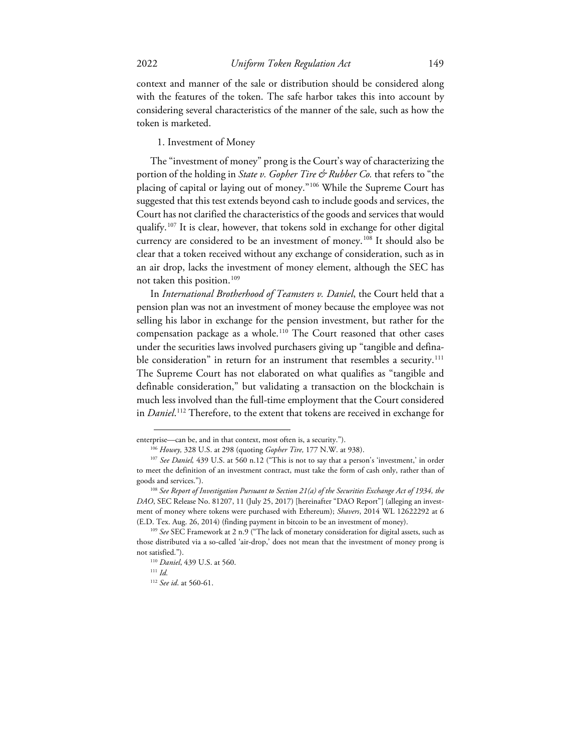context and manner of the sale or distribution should be considered along with the features of the token. The safe harbor takes this into account by considering several characteristics of the manner of the sale, such as how the token is marketed.

1. Investment of Money

The "investment of money" prong is the Court's way of characterizing the portion of the holding in *State v. Gopher Tire & Rubber Co.* that refers to "the placing of capital or laying out of money."[106](#page-19-0) While the Supreme Court has suggested that this test extends beyond cash to include goods and services, the Court has not clarified the characteristics of the goods and services that would qualify.<sup>[107](#page-19-1)</sup> It is clear, however, that tokens sold in exchange for other digital currency are considered to be an investment of money.<sup>[108](#page-19-2)</sup> It should also be clear that a token received without any exchange of consideration, such as in an air drop, lacks the investment of money element, although the SEC has not taken this position.<sup>[109](#page-19-3)</sup>

In *International Brotherhood of Teamsters v. Daniel*, the Court held that a pension plan was not an investment of money because the employee was not selling his labor in exchange for the pension investment, but rather for the compensation package as a whole.[110](#page-19-4) The Court reasoned that other cases under the securities laws involved purchasers giving up "tangible and defina-ble consideration" in return for an instrument that resembles a security.<sup>[111](#page-19-5)</sup> The Supreme Court has not elaborated on what qualifies as "tangible and definable consideration," but validating a transaction on the blockchain is much less involved than the full-time employment that the Court considered in *Daniel*. [112](#page-19-6) Therefore, to the extent that tokens are received in exchange for

<sup>112</sup> *See id*. at 560-61.

<span id="page-19-1"></span><span id="page-19-0"></span>enterprise—can be, and in that context, most often is, a security.").<br><sup>106</sup> Howey, 328 U.S. at 298 (quoting *Gopher Tire*, 177 N.W. at 938).<br><sup>107</sup> See Daniel, 439 U.S. at 560 n.12 ("This is not to say that a person's 'inve to meet the definition of an investment contract, must take the form of cash only, rather than of goods and services.").<br><sup>108</sup> *See Report of Investigation Pursuant to Section 21(a) of the Securities Exchange Act of 1934, the* 

<span id="page-19-2"></span>*DAO*, SEC Release No. 81207, 11 (July 25, 2017) [hereinafter "DAO Report"] (alleging an investment of money where tokens were purchased with Ethereum); *Shavers*, 2014 WL 12622292 at 6 (E.D. Tex. Aug. 26, 2014) (finding payment in bitcoin to be an investment of money). 109 *See* SEC Framework at 2 n.9 ("The lack of monetary consideration for digital assets, such as

<span id="page-19-6"></span><span id="page-19-5"></span><span id="page-19-4"></span><span id="page-19-3"></span>those distributed via a so-called 'air-drop,' does not mean that the investment of money prong is not satisfied."). 110 *Daniel*, 439 U.S. at 560. 111 *Id.*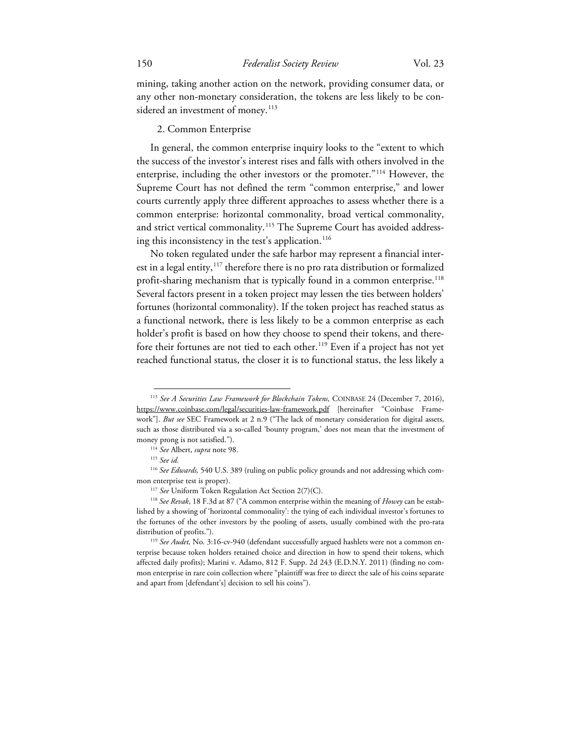mining, taking another action on the network, providing consumer data, or any other non-monetary consideration, the tokens are less likely to be con-sidered an investment of money.<sup>[113](#page-20-0)</sup>

#### 2. Common Enterprise

In general, the common enterprise inquiry looks to the "extent to which the success of the investor's interest rises and falls with others involved in the enterprise, including the other investors or the promoter.["114](#page-20-1) However, the Supreme Court has not defined the term "common enterprise," and lower courts currently apply three different approaches to assess whether there is a common enterprise: horizontal commonality, broad vertical commonality, and strict vertical commonality.<sup>[115](#page-20-2)</sup> The Supreme Court has avoided address-ing this inconsistency in the test's application.<sup>[116](#page-20-3)</sup>

No token regulated under the safe harbor may represent a financial interest in a legal entity,  $117$  therefore there is no pro rata distribution or formalized profit-sharing mechanism that is typically found in a common enterprise.<sup>[118](#page-20-5)</sup> Several factors present in a token project may lessen the ties between holders' fortunes (horizontal commonality). If the token project has reached status as a functional network, there is less likely to be a common enterprise as each holder's profit is based on how they choose to spend their tokens, and therefore their fortunes are not tied to each other.<sup>119</sup> Even if a project has not yet reached functional status, the closer it is to functional status, the less likely a

<span id="page-20-0"></span><sup>113</sup> *See A Securities Law Framework for Blockchain Tokens,* COINBASE 24 (December 7, 2016), https://www.coinbase.com/legal/securities-law-framework.pdf [hereinafter "Coinbase Framework"]. *But see* SEC Framework at 2 n.9 ("The lack of monetary consideration for digital assets, such as those distributed via a so-called 'bounty program,' does not mean that the investment of money prong is not satisfied."). 114 *See* Albert, *supra* note 98. 115 *See id.*

<span id="page-20-3"></span><span id="page-20-2"></span><span id="page-20-1"></span><sup>&</sup>lt;sup>116</sup> See Edwards, 540 U.S. 389 (ruling on public policy grounds and not addressing which common enterprise test is proper). 117 *See* Uniform Token Regulation Act Section 2(7)(C). 118 *See Revak*, 18 F.3d at 87 ("A common enterprise within the meaning of *Howey* can be estab-

<span id="page-20-5"></span><span id="page-20-4"></span>lished by a showing of 'horizontal commonality': the tying of each individual investor's fortunes to the fortunes of the other investors by the pooling of assets, usually combined with the pro-rata

<span id="page-20-6"></span>distribution of profits."). 119 *See Audet,* No. 3:16-cv-940 (defendant successfully argued hashlets were not a common enterprise because token holders retained choice and direction in how to spend their tokens, which affected daily profits); Marini v. Adamo, 812 F. Supp. 2d 243 (E.D.N.Y. 2011) (finding no common enterprise in rare coin collection where "plaintiff was free to direct the sale of his coins separate and apart from [defendant's] decision to sell his coins").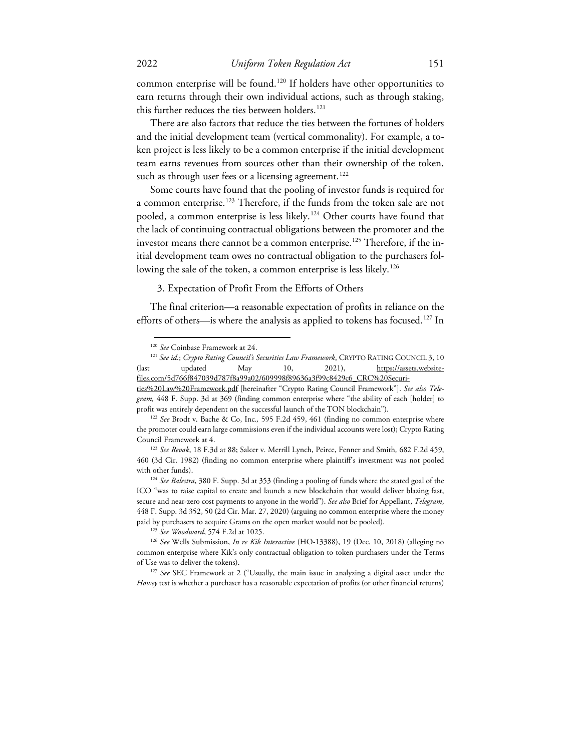common enterprise will be found.<sup>120</sup> If holders have other opportunities to earn returns through their own individual actions, such as through staking, this further reduces the ties between holders.<sup>[121](#page-21-1)</sup>

There are also factors that reduce the ties between the fortunes of holders and the initial development team (vertical commonality). For example, a token project is less likely to be a common enterprise if the initial development team earns revenues from sources other than their ownership of the token, such as through user fees or a licensing agreement.<sup>122</sup>

Some courts have found that the pooling of investor funds is required for a common enterprise.<sup>[123](#page-21-3)</sup> Therefore, if the funds from the token sale are not pooled, a common enterprise is less likely.<sup>[124](#page-21-4)</sup> Other courts have found that the lack of continuing contractual obligations between the promoter and the investor means there cannot be a common enterprise.<sup>[125](#page-21-5)</sup> Therefore, if the initial development team owes no contractual obligation to the purchasers fol-lowing the sale of the token, a common enterprise is less likely.<sup>[126](#page-21-6)</sup>

#### 3. Expectation of Profit From the Efforts of Others

The final criterion—a reasonable expectation of profits in reliance on the efforts of others—is where the analysis as applied to tokens has focused.<sup>[127](#page-21-7)</sup> In

<span id="page-21-1"></span><span id="page-21-0"></span><sup>&</sup>lt;sup>120</sup> *See* Coinbase Framework at 24.<br><sup>121</sup> *See id.; Crypto Rating Council's Securities Law Framework*, CRYPTO RATING COUNCIL 3, 10 (last updated May 10, 2021), https://assets.websitefiles.com/5d766f847039d787f8a99a02/609998f89636a3f99c8429c6\_CRC%20Securi-

ties%20Law%20Framework.pdf [hereinafter "Crypto Rating Council Framework"]. *See also Telegram,* 448 F. Supp. 3d at 369 (finding common enterprise where "the ability of each [holder] to

<span id="page-21-2"></span>profit was entirely dependent on the successful launch of the TON blockchain"). 122 *See* Brodt v. Bache & Co, Inc*.,* 595 F.2d 459, 461 (finding no common enterprise where the promoter could earn large commissions even if the individual accounts were lost); Crypto Rating Council Framework at 4. 123 *See Revak*, 18 F.3d at 88; Salcer v. Merrill Lynch, Peirce, Fenner and Smith*,* 682 F.2d 459,

<span id="page-21-3"></span><sup>460 (3</sup>d Cir. 1982) (finding no common enterprise where plaintiff's investment was not pooled with other funds). 124 *See Balestra*, 380 F. Supp. 3d at 353 (finding a pooling of funds where the stated goal of the

<span id="page-21-4"></span>ICO "was to raise capital to create and launch a new blockchain that would deliver blazing fast, secure and near-zero cost payments to anyone in the world"). *See also* Brief for Appellant, *Telegram*, 448 F. Supp. 3d 352, 50 (2d Cir. Mar. 27, 2020) (arguing no common enterprise where the money paid by purchasers to acquire Grams on the open market would not be pooled).

<span id="page-21-6"></span><span id="page-21-5"></span><sup>&</sup>lt;sup>125</sup> *See Woodward*, 574 F.2d at 1025.<br><sup>126</sup> *See Wells Submission, In re Kik Interactive* (HO-13388), 19 (Dec. 10, 2018) (alleging no common enterprise where Kik's only contractual obligation to token purchasers under the Terms of Use was to deliver the tokens). 127 *See* SEC Framework at 2 ("Usually, the main issue in analyzing a digital asset under the

<span id="page-21-7"></span>*Howey* test is whether a purchaser has a reasonable expectation of profits (or other financial returns)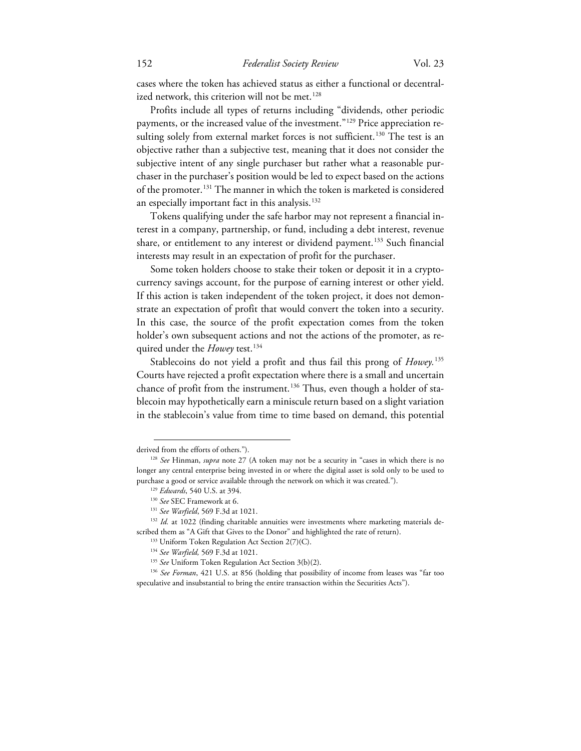cases where the token has achieved status as either a functional or decentral-ized network, this criterion will not be met.<sup>[128](#page-22-0)</sup>

Profits include all types of returns including "dividends, other periodic payments, or the increased value of the investment."<sup>[129](#page-22-1)</sup> Price appreciation re-sulting solely from external market forces is not sufficient.<sup>[130](#page-22-2)</sup> The test is an objective rather than a subjective test, meaning that it does not consider the subjective intent of any single purchaser but rather what a reasonable purchaser in the purchaser's position would be led to expect based on the actions of the promoter.[131](#page-22-3) The manner in which the token is marketed is considered an especially important fact in this analysis. [132](#page-22-4)

Tokens qualifying under the safe harbor may not represent a financial interest in a company, partnership, or fund, including a debt interest, revenue share, or entitlement to any interest or dividend payment.<sup>[133](#page-22-5)</sup> Such financial interests may result in an expectation of profit for the purchaser.

Some token holders choose to stake their token or deposit it in a cryptocurrency savings account, for the purpose of earning interest or other yield. If this action is taken independent of the token project, it does not demonstrate an expectation of profit that would convert the token into a security. In this case, the source of the profit expectation comes from the token holder's own subsequent actions and not the actions of the promoter, as required under the *Howey* test.<sup>[134](#page-22-6)</sup>

Stablecoins do not yield a profit and thus fail this prong of *Howey.*[135](#page-22-7) Courts have rejected a profit expectation where there is a small and uncertain chance of profit from the instrument.<sup>[136](#page-22-8)</sup> Thus, even though a holder of stablecoin may hypothetically earn a miniscule return based on a slight variation in the stablecoin's value from time to time based on demand, this potential

derived from the efforts of others.").

<span id="page-22-1"></span><span id="page-22-0"></span><sup>128</sup> *See* Hinman, *supra* note 27 (A token may not be a security in "cases in which there is no longer any central enterprise being invested in or where the digital asset is sold only to be used to purchase a good or service available through the network on which it was created.").<br>
<sup>129</sup> *Edwards*, 540 U.S. at 394.<br>
<sup>130</sup> *See* SEC Framework at 6.<br>
<sup>131</sup> *See* Varfield, 569 F.3d at 1021.<br>
<sup>132</sup> *Id.* at 1022 (findin

<span id="page-22-5"></span><span id="page-22-4"></span><span id="page-22-3"></span><span id="page-22-2"></span>scribed them as "A Gift that Gives to the Donor" and highlighted the rate of return).  $133$  Uniform Token Regulation Act Section 2(7)(C).

<sup>134</sup> *See Warfield,* 569 F.3d at 1021.

<span id="page-22-8"></span><span id="page-22-7"></span><span id="page-22-6"></span><sup>135</sup> *See* Uniform Token Regulation Act Section 3(b)(2). 136 *See Forman*, 421 U.S. at 856 (holding that possibility of income from leases was "far too speculative and insubstantial to bring the entire transaction within the Securities Acts").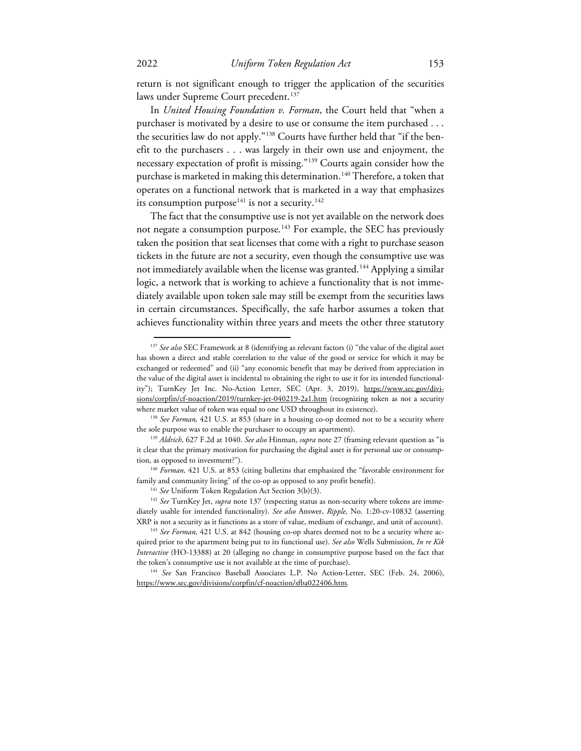return is not significant enough to trigger the application of the securities laws under Supreme Court precedent.<sup>137</sup>

In *United Housing Foundation v. Forman*, the Court held that "when a purchaser is motivated by a desire to use or consume the item purchased . . . the securities law do not apply."[138](#page-23-1) Courts have further held that "if the benefit to the purchasers . . . was largely in their own use and enjoyment, the necessary expectation of profit is missing."[139](#page-23-2) Courts again consider how the purchase is marketed in making this determination.<sup>[140](#page-23-3)</sup> Therefore, a token that operates on a functional network that is marketed in a way that emphasizes its consumption purpose<sup>[141](#page-23-4)</sup> is not a security.<sup>[142](#page-23-5)</sup>

The fact that the consumptive use is not yet available on the network does not negate a consumption purpose.<sup>143</sup> For example, the SEC has previously taken the position that seat licenses that come with a right to purchase season tickets in the future are not a security, even though the consumptive use was not immediately available when the license was granted.<sup>[144](#page-23-7)</sup> Applying a similar logic, a network that is working to achieve a functionality that is not immediately available upon token sale may still be exempt from the securities laws in certain circumstances. Specifically, the safe harbor assumes a token that achieves functionality within three years and meets the other three statutory

<span id="page-23-7"></span>https://www.sec.gov/divisions/corpfin/cf-noaction/sfba022406.htm.

<span id="page-23-0"></span><sup>137</sup> *See also* SEC Framework at 8 (identifying as relevant factors (i) "the value of the digital asset has shown a direct and stable correlation to the value of the good or service for which it may be exchanged or redeemed" and (ii) "any economic benefit that may be derived from appreciation in the value of the digital asset is incidental to obtaining the right to use it for its intended functionality"); TurnKey Jet Inc. No-Action Letter, SEC (Apr. 3, 2019), [https://www.sec.gov/divi](https://www.sec.gov/divisions/corpfin/cf-noaction/2019/turnkey-jet-040219-2a1.htm)[sions/corpfin/cf-noaction/2019/turnkey-jet-040219-2a1.htm](https://www.sec.gov/divisions/corpfin/cf-noaction/2019/turnkey-jet-040219-2a1.htm) (recognizing token as not a security

<span id="page-23-1"></span>where market value of token was equal to one USD throughout its existence). 138 *See Forman,* 421 U.S. at 853 (share in a housing co-op deemed not to be a security where the sole purpose was to enable the purchaser to occupy an apartment).

<span id="page-23-2"></span><sup>139</sup> *Aldrich*, 627 F.2d at 1040. *See also* Hinman, *supra* note 27 (framing relevant question as "is it clear that the primary motivation for purchasing the digital asset is for personal use or consumption, as opposed to investment?"). 140 *Forman,* 421 U.S. at 853 (citing bulletins that emphasized the "favorable environment for

<span id="page-23-5"></span><span id="page-23-4"></span><span id="page-23-3"></span>family and community living" of the co-op as opposed to any profit benefit).<br><sup>141</sup> *See* Uniform Token Regulation Act Section 3(b)(3).<br><sup>142</sup> *See* TurnKey Jet, *supra* note 137 (respecting status as non-security where tok diately usable for intended functionality). *See also* Answer, *Ripple,* No. 1:20-cv-10832 (asserting

<span id="page-23-6"></span>XRP is not a security as it functions as a store of value, medium of exchange, and unit of account). 143 *See Forman,* 421 U.S. at 842 (housing co-op shares deemed not to be a security where acquired prior to the apartment being put to its functional use). *See also* Wells Submission, *In re Kik Interactive* (HO-13388) at 20 (alleging no change in consumptive purpose based on the fact that the token's consumptive use is not available at the time of purchase). 144 *See* San Francisco Baseball Associates L.P. No Action-Letter, SEC (Feb. 24, 2006),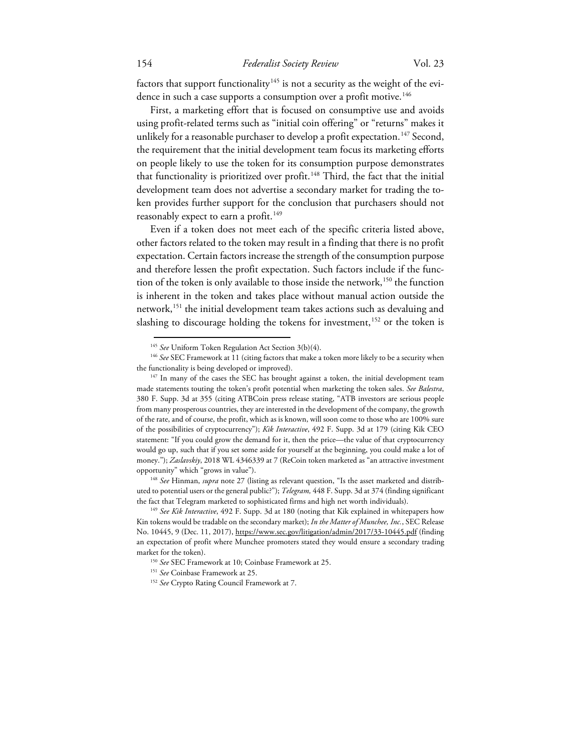factors that support functionality<sup>[145](#page-24-0)</sup> is not a security as the weight of the evi-dence in such a case supports a consumption over a profit motive.<sup>[146](#page-24-1)</sup>

First, a marketing effort that is focused on consumptive use and avoids using profit-related terms such as "initial coin offering" or "returns" makes it unlikely for a reasonable purchaser to develop a profit expectation.<sup>[147](#page-24-2)</sup> Second, the requirement that the initial development team focus its marketing efforts on people likely to use the token for its consumption purpose demonstrates that functionality is prioritized over profit.<sup>148</sup> Third, the fact that the initial development team does not advertise a secondary market for trading the token provides further support for the conclusion that purchasers should not reasonably expect to earn a profit.<sup>[149](#page-24-4)</sup>

Even if a token does not meet each of the specific criteria listed above, other factors related to the token may result in a finding that there is no profit expectation. Certain factors increase the strength of the consumption purpose and therefore lessen the profit expectation. Such factors include if the func-tion of the token is only available to those inside the network,<sup>[150](#page-24-5)</sup> the function is inherent in the token and takes place without manual action outside the network,<sup>[151](#page-24-6)</sup> the initial development team takes actions such as devaluing and slashing to discourage holding the tokens for investment,<sup>[152](#page-24-7)</sup> or the token is

<span id="page-24-3"></span>uted to potential users or the general public?"); *Telegram,* 448 F. Supp. 3d at 374 (finding significant the fact that Telegram marketed to sophisticated firms and high net worth individuals). 149 *See Kik Interactive*, 492 F. Supp. 3d at 180 (noting that Kik explained in whitepapers how

<sup>145</sup> *See* Uniform Token Regulation Act Section 3(b)(4).

<span id="page-24-1"></span><span id="page-24-0"></span><sup>146</sup> *See* SEC Framework at 11 (citing factors that make a token more likely to be a security when the functionality is being developed or improved).<br><sup>147</sup> In many of the cases the SEC has brought against a token, the initial development team

<span id="page-24-2"></span>made statements touting the token's profit potential when marketing the token sales. *See Balestra*, 380 F. Supp. 3d at 355 (citing ATBCoin press release stating, "ATB investors are serious people from many prosperous countries, they are interested in the development of the company, the growth of the rate, and of course, the profit, which as is known, will soon come to those who are 100% sure of the possibilities of cryptocurrency"); *Kik Interactive*, 492 F. Supp. 3d at 179 (citing Kik CEO statement: "If you could grow the demand for it, then the price—the value of that cryptocurrency would go up, such that if you set some aside for yourself at the beginning, you could make a lot of money."); *Zaslavskiy*, 2018 WL 4346339 at 7 (ReCoin token marketed as "an attractive investment opportunity" which "grows in value"). 148 *See* Hinman, *supra* note 27 (listing as relevant question, "Is the asset marketed and distrib-

<span id="page-24-6"></span><span id="page-24-5"></span><span id="page-24-4"></span>Kin tokens would be tradable on the secondary market); *In the Matter of Munchee, Inc.*, SEC Release No. 10445, 9 (Dec. 11, 2017), https://www.sec.gov/litigation/admin/2017/33-10445.pdf (finding an expectation of profit where Munchee promoters stated they would ensure a secondary trading market for the token). 150 *See* SEC Framework at 10; Coinbase Framework at 25.

<sup>151</sup> *See* Coinbase Framework at 25.

<span id="page-24-7"></span><sup>152</sup> *See* Crypto Rating Council Framework at 7.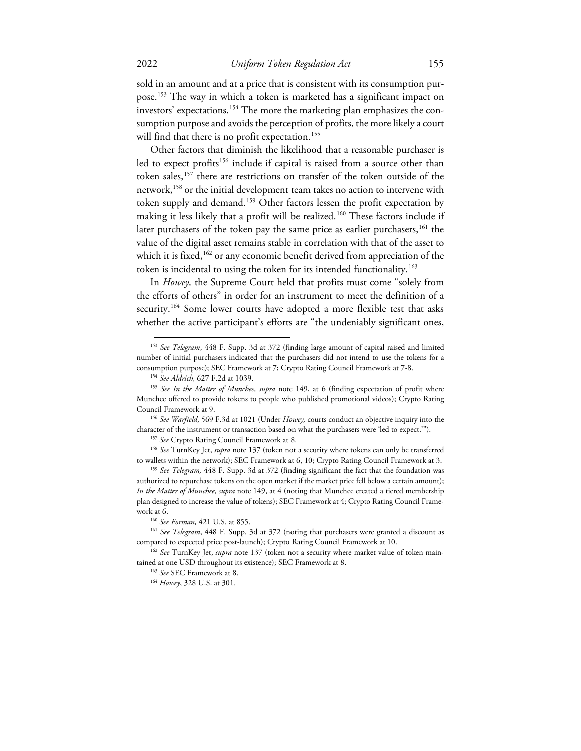sold in an amount and at a price that is consistent with its consumption pur-pose.<sup>[153](#page-25-0)</sup> The way in which a token is marketed has a significant impact on investors' expectations.[154](#page-25-1) The more the marketing plan emphasizes the consumption purpose and avoids the perception of profits, the more likely a court will find that there is no profit expectation.<sup>[155](#page-25-2)</sup>

Other factors that diminish the likelihood that a reasonable purchaser is led to expect profits<sup>[156](#page-25-3)</sup> include if capital is raised from a source other than token sales,<sup>[157](#page-25-4)</sup> there are restrictions on transfer of the token outside of the network,[158](#page-25-5) or the initial development team takes no action to intervene with token supply and demand.<sup>[159](#page-25-6)</sup> Other factors lessen the profit expectation by making it less likely that a profit will be realized.<sup>[160](#page-25-7)</sup> These factors include if later purchasers of the token pay the same price as earlier purchasers,<sup>161</sup> the value of the digital asset remains stable in correlation with that of the asset to which it is fixed,<sup>[162](#page-25-9)</sup> or any economic benefit derived from appreciation of the token is incidental to using the token for its intended functionality.[163](#page-25-10)

In *Howey,* the Supreme Court held that profits must come "solely from the efforts of others" in order for an instrument to meet the definition of a security.<sup>[164](#page-25-11)</sup> Some lower courts have adopted a more flexible test that asks whether the active participant's efforts are "the undeniably significant ones,

<span id="page-25-0"></span><sup>153</sup> *See Telegram*, 448 F. Supp. 3d at 372 (finding large amount of capital raised and limited number of initial purchasers indicated that the purchasers did not intend to use the tokens for a consumption purpose); SEC Framework at 7; Crypto Rating Council Framework at 7-8.<br><sup>154</sup> *See Aldrich,* 627 F.2d at 1039.<br><sup>155</sup> *See In the Matter of Munchee, supra* note 149, at 6 (finding expectation of profit where

<span id="page-25-2"></span><span id="page-25-1"></span>Munchee offered to provide tokens to people who published promotional videos); Crypto Rating Council Framework at 9.

<span id="page-25-4"></span><span id="page-25-3"></span><sup>156</sup> *See Warfield*, 569 F.3d at 1021 (Under *Howey,* courts conduct an objective inquiry into the character of the instrument or transaction based on what the purchasers were 'led to expect.'").<br><sup>157</sup> See Crypto Rating Council Framework at 8.<br><sup>158</sup> See TurnKey Jet, *supra* note 137 (token not a security where tokens ca

<span id="page-25-5"></span>to wallets within the network); SEC Framework at 6, 10; Crypto Rating Council Framework at 3. 159 *See Telegram,* 448 F. Supp. 3d at 372 (finding significant the fact that the foundation was

<span id="page-25-6"></span>authorized to repurchase tokens on the open market if the market price fell below a certain amount); *In the Matter of Munchee, supra* note 149, at 4 (noting that Munchee created a tiered membership plan designed to increase the value of tokens); SEC Framework at 4; Crypto Rating Council Framework at 6. 160 *See Forman,* 421 U.S. at 855.

<span id="page-25-8"></span><span id="page-25-7"></span><sup>161</sup> *See Telegram*, 448 F. Supp. 3d at 372 (noting that purchasers were granted a discount as compared to expected price post-launch); Crypto Rating Council Framework at 10. 162 *See* TurnKey Jet, *supra* note 137 (token not a security where market value of token main-

<span id="page-25-11"></span><span id="page-25-10"></span><span id="page-25-9"></span>tained at one USD throughout its existence); SEC Framework at 8. 163 *See* SEC Framework at 8.

<sup>164</sup> *Howey*, 328 U.S. at 301.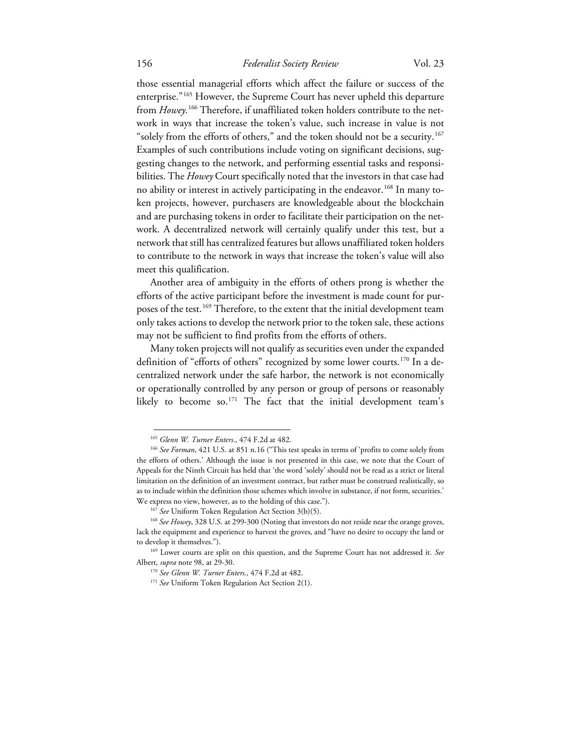# 156 *Federalist Society Review* Vol. 23

those essential managerial efforts which affect the failure or success of the enterprise."[165](#page-26-0) However, the Supreme Court has never upheld this departure from *Howey*.<sup>[166](#page-26-1)</sup> Therefore, if unaffiliated token holders contribute to the network in ways that increase the token's value, such increase in value is not "solely from the efforts of others," and the token should not be a security.<sup>[167](#page-26-2)</sup> Examples of such contributions include voting on significant decisions, suggesting changes to the network, and performing essential tasks and responsibilities. The *Howey* Court specifically noted that the investors in that case had no ability or interest in actively participating in the endeavor.<sup>[168](#page-26-3)</sup> In many token projects, however, purchasers are knowledgeable about the blockchain and are purchasing tokens in order to facilitate their participation on the network. A decentralized network will certainly qualify under this test, but a network that still has centralized features but allows unaffiliated token holders to contribute to the network in ways that increase the token's value will also meet this qualification.

Another area of ambiguity in the efforts of others prong is whether the efforts of the active participant before the investment is made count for pur-poses of the test.<sup>[169](#page-26-4)</sup> Therefore, to the extent that the initial development team only takes actions to develop the network prior to the token sale, these actions may not be sufficient to find profits from the efforts of others.

Many token projects will not qualify as securities even under the expanded definition of "efforts of others" recognized by some lower courts.<sup>[170](#page-26-5)</sup> In a decentralized network under the safe harbor, the network is not economically or operationally controlled by any person or group of persons or reasonably likely to become so.<sup>[171](#page-26-6)</sup> The fact that the initial development team's

<span id="page-26-1"></span><span id="page-26-0"></span><sup>&</sup>lt;sup>165</sup> *Glenn W. Turner Enters.*, 474 F.2d at 482.<br><sup>166</sup> *See Forman*, 421 U.S. at 851 n.16 ("This test speaks in terms of 'profits to come solely from the efforts of others.' Although the issue is not presented in this case, we note that the Court of Appeals for the Ninth Circuit has held that 'the word 'solely' should not be read as a strict or literal limitation on the definition of an investment contract, but rather must be construed realistically, so as to include within the definition those schemes which involve in substance, if not form, securities.' We express no view, however, as to the holding of this case.").<br><sup>167</sup> See Uniform Token Regulation Act Section 3(b)(5).<br><sup>168</sup> See Howey, 328 U.S. at 299-300 (Noting that investors do not reside near the orange groves,

<span id="page-26-3"></span><span id="page-26-2"></span>lack the equipment and experience to harvest the groves, and "have no desire to occupy the land or to develop it themselves.").

<span id="page-26-6"></span><span id="page-26-5"></span><span id="page-26-4"></span><sup>169</sup> Lower courts are split on this question, and the Supreme Court has not addressed it. *See*  Albert, *supra* note 98, at 29-30.<br><sup>170</sup> *See Glenn W. Turner Enters.*, 474 F.2d at 482.<br><sup>171</sup> *See* Uniform Token Regulation Act Section 2(1).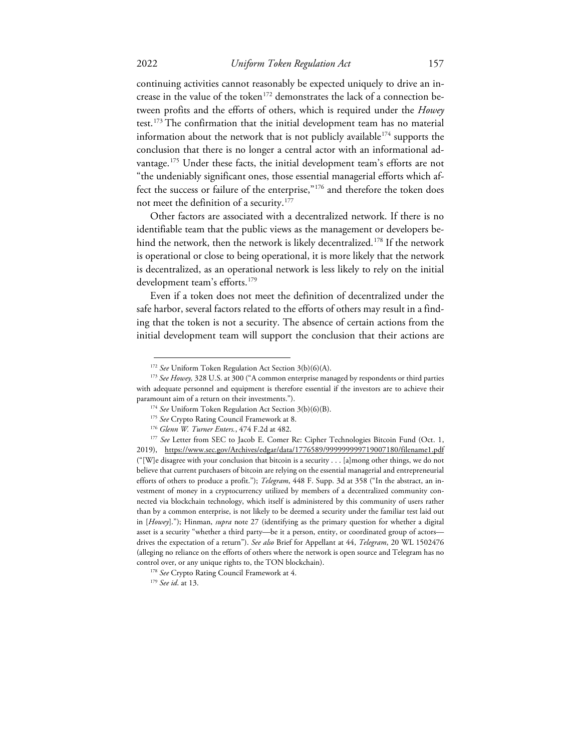continuing activities cannot reasonably be expected uniquely to drive an in-crease in the value of the token<sup>[172](#page-27-0)</sup> demonstrates the lack of a connection between profits and the efforts of others, which is required under the *Howey*  test.<sup>[173](#page-27-1)</sup> The confirmation that the initial development team has no material information about the network that is not publicly available<sup>[174](#page-27-2)</sup> supports the conclusion that there is no longer a central actor with an informational ad-vantage.<sup>[175](#page-27-3)</sup> Under these facts, the initial development team's efforts are not "the undeniably significant ones, those essential managerial efforts which affect the success or failure of the enterprise,"[176](#page-27-4) and therefore the token does not meet the definition of a security.<sup>177</sup>

Other factors are associated with a decentralized network. If there is no identifiable team that the public views as the management or developers be-hind the network, then the network is likely decentralized.<sup>[178](#page-27-6)</sup> If the network is operational or close to being operational, it is more likely that the network is decentralized, as an operational network is less likely to rely on the initial development team's efforts. [179](#page-27-7) 

Even if a token does not meet the definition of decentralized under the safe harbor, several factors related to the efforts of others may result in a finding that the token is not a security. The absence of certain actions from the initial development team will support the conclusion that their actions are

<span id="page-27-1"></span><span id="page-27-0"></span><sup>172</sup> *See* Uniform Token Regulation Act Section 3(b)(6)(A). 173 *See Howey,* 328 U.S. at 300 ("A common enterprise managed by respondents or third parties with adequate personnel and equipment is therefore essential if the investors are to achieve their

<span id="page-27-5"></span><span id="page-27-4"></span><span id="page-27-3"></span><span id="page-27-2"></span>paramount aim of a return on their investments.").<br>
<sup>174</sup> See Uniform Token Regulation Act Section 3(b)(6)(B).<br>
<sup>175</sup> See Crypto Rating Council Framework at 8.<br>
<sup>176</sup> Glenn W. *Turner Enters.*, 474 F.2d at 482.<br>
<sup>177</sup> See 2019), https://www.sec.gov/Archives/edgar/data/1776589/999999999719007180/filename1.pdf ("[W]e disagree with your conclusion that bitcoin is a security . . . [a]mong other things, we do not believe that current purchasers of bitcoin are relying on the essential managerial and entrepreneurial efforts of others to produce a profit."); *Telegram*, 448 F. Supp. 3d at 358 ("In the abstract, an investment of money in a cryptocurrency utilized by members of a decentralized community connected via blockchain technology, which itself is administered by this community of users rather than by a common enterprise, is not likely to be deemed a security under the familiar test laid out in [*Howey*]."); Hinman, *supra* note 27 (identifying as the primary question for whether a digital asset is a security "whether a third party—be it a person, entity, or coordinated group of actors drives the expectation of a return"). *See also* Brief for Appellant at 44, *Telegram*, 20 WL 1502476 (alleging no reliance on the efforts of others where the network is open source and Telegram has no control over, or any unique rights to, the TON blockchain). 178 *See* Crypto Rating Council Framework at 4. 179 *See id*. at 13.

<span id="page-27-7"></span><span id="page-27-6"></span>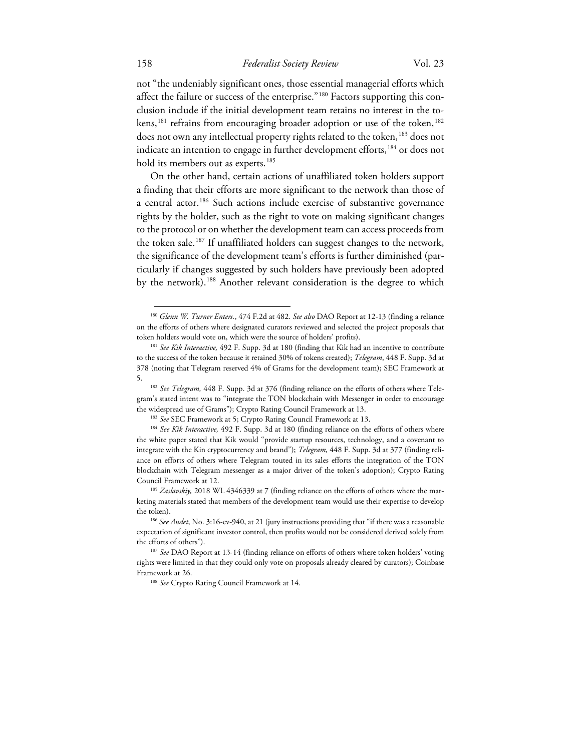# 158 *Federalist Society Review* Vol. 23

not "the undeniably significant ones, those essential managerial efforts which affect the failure or success of the enterprise."[180](#page-28-0) Factors supporting this conclusion include if the initial development team retains no interest in the to-kens,<sup>[181](#page-28-1)</sup> refrains from encouraging broader adoption or use of the token,<sup>[182](#page-28-2)</sup> does not own any intellectual property rights related to the token,<sup>[183](#page-28-3)</sup> does not indicate an intention to engage in further development efforts,<sup>[184](#page-28-4)</sup> or does not hold its members out as experts.<sup>[185](#page-28-5)</sup>

On the other hand, certain actions of unaffiliated token holders support a finding that their efforts are more significant to the network than those of a central actor.<sup>[186](#page-28-6)</sup> Such actions include exercise of substantive governance rights by the holder, such as the right to vote on making significant changes to the protocol or on whether the development team can access proceeds from the token sale.[187](#page-28-7) If unaffiliated holders can suggest changes to the network, the significance of the development team's efforts is further diminished (particularly if changes suggested by such holders have previously been adopted by the network).<sup>[188](#page-28-8)</sup> Another relevant consideration is the degree to which

<span id="page-28-0"></span><sup>180</sup> *Glenn W. Turner Enters.*, 474 F.2d at 482. *See also* DAO Report at 12-13 (finding a reliance on the efforts of others where designated curators reviewed and selected the project proposals that token holders would vote on, which were the source of holders' profits). 181 *See Kik Interactive,* 492 F. Supp. 3d at 180 (finding that Kik had an incentive to contribute

<span id="page-28-1"></span>to the success of the token because it retained 30% of tokens created); *Telegram*, 448 F. Supp. 3d at 378 (noting that Telegram reserved 4% of Grams for the development team); SEC Framework at 5. 182 *See Telegram,* 448 F. Supp. 3d at 376 (finding reliance on the efforts of others where Tele-

<span id="page-28-2"></span>gram's stated intent was to "integrate the TON blockchain with Messenger in order to encourage the widespread use of Grams"); Crypto Rating Council Framework at 13.

<span id="page-28-4"></span><span id="page-28-3"></span><sup>&</sup>lt;sup>183</sup> *See* SEC Framework at 5; Crypto Rating Council Framework at 13.<br><sup>184</sup> *See Kik Interactive*, 492 F. Supp. 3d at 180 (finding reliance on the efforts of others where the white paper stated that Kik would "provide startup resources, technology, and a covenant to integrate with the Kin cryptocurrency and brand"); *Telegram,* 448 F. Supp. 3d at 377 (finding reliance on efforts of others where Telegram touted in its sales efforts the integration of the TON blockchain with Telegram messenger as a major driver of the token's adoption); Crypto Rating Council Framework at 12.

<span id="page-28-5"></span><sup>&</sup>lt;sup>185</sup> Zaslavskiy, 2018 WL 4346339 at 7 (finding reliance on the efforts of others where the marketing materials stated that members of the development team would use their expertise to develop the token). 186 *See Audet*, No. 3:16-cv-940, at 21 (jury instructions providing that "if there was a reasonable

<span id="page-28-6"></span>expectation of significant investor control, then profits would not be considered derived solely from the efforts of others"). 187 *See* DAO Report at 13-14 (finding reliance on efforts of others where token holders' voting

<span id="page-28-8"></span><span id="page-28-7"></span>rights were limited in that they could only vote on proposals already cleared by curators); Coinbase Framework at 26. 188 *See* Crypto Rating Council Framework at 14.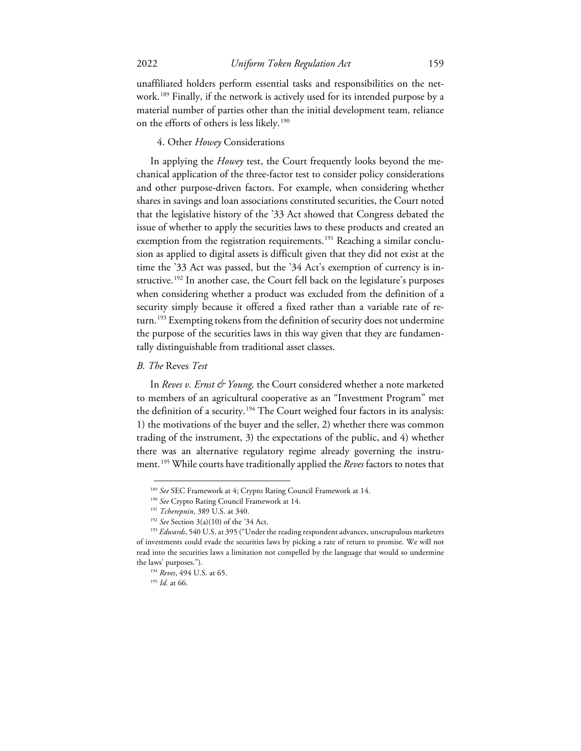unaffiliated holders perform essential tasks and responsibilities on the network.[189](#page-29-0) Finally, if the network is actively used for its intended purpose by a material number of parties other than the initial development team, reliance on the efforts of others is less likely.<sup>[190](#page-29-1)</sup>

#### 4. Other *Howey* Considerations

In applying the *Howey* test, the Court frequently looks beyond the mechanical application of the three-factor test to consider policy considerations and other purpose-driven factors. For example, when considering whether shares in savings and loan associations constituted securities, the Court noted that the legislative history of the '33 Act showed that Congress debated the issue of whether to apply the securities laws to these products and created an exemption from the registration requirements.<sup>[191](#page-29-2)</sup> Reaching a similar conclusion as applied to digital assets is difficult given that they did not exist at the time the '33 Act was passed, but the '34 Act's exemption of currency is in-structive.<sup>[192](#page-29-3)</sup> In another case, the Court fell back on the legislature's purposes when considering whether a product was excluded from the definition of a security simply because it offered a fixed rather than a variable rate of re-turn.<sup>[193](#page-29-4)</sup> Exempting tokens from the definition of security does not undermine the purpose of the securities laws in this way given that they are fundamentally distinguishable from traditional asset classes.

## *B. The* Reves *Test*

In *Reves v. Ernst & Young*, the Court considered whether a note marketed to members of an agricultural cooperative as an "Investment Program" met the definition of a security.<sup>[194](#page-29-5)</sup> The Court weighed four factors in its analysis: 1) the motivations of the buyer and the seller, 2) whether there was common trading of the instrument, 3) the expectations of the public, and 4) whether there was an alternative regulatory regime already governing the instrument.[195](#page-29-6) While courts have traditionally applied the *Reves* factors to notes that

<sup>189</sup> *See* SEC Framework at 4; Crypto Rating Council Framework at 14. 190 *See* Crypto Rating Council Framework at 14.

<sup>&</sup>lt;sup>191</sup> *Tcherepnin*, 389 U.S. at 340.<br><sup>192</sup> *See* Section 3(a)(10) of the '34 Act.

<span id="page-29-6"></span><span id="page-29-5"></span><span id="page-29-4"></span><span id="page-29-3"></span><span id="page-29-2"></span><span id="page-29-1"></span><span id="page-29-0"></span><sup>193</sup> *Edwards*, 540 U.S. at 395 ("Under the reading respondent advances, unscrupulous marketers of investments could evade the securities laws by picking a rate of return to promise. We will not read into the securities laws a limitation not compelled by the language that would so undermine the laws' purposes."). 194 *Reves*, 494 U.S. at 65.

<sup>195</sup> *Id.* at 66.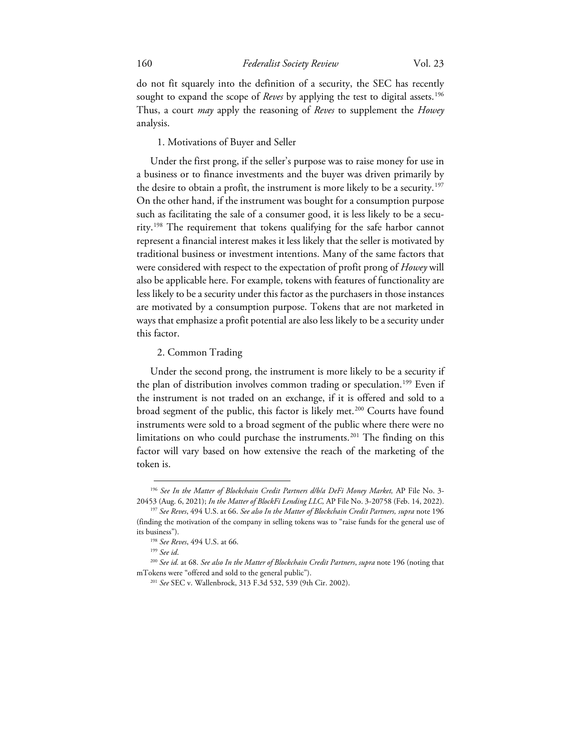do not fit squarely into the definition of a security, the SEC has recently sought to expand the scope of *Reves* by applying the test to digital assets.<sup>[196](#page-30-0)</sup> Thus, a court *may* apply the reasoning of *Reves* to supplement the *Howey*  analysis.

#### 1. Motivations of Buyer and Seller

Under the first prong, if the seller's purpose was to raise money for use in a business or to finance investments and the buyer was driven primarily by the desire to obtain a profit, the instrument is more likely to be a security.<sup>[197](#page-30-1)</sup> On the other hand, if the instrument was bought for a consumption purpose such as facilitating the sale of a consumer good, it is less likely to be a security.[198](#page-30-2) The requirement that tokens qualifying for the safe harbor cannot represent a financial interest makes it less likely that the seller is motivated by traditional business or investment intentions. Many of the same factors that were considered with respect to the expectation of profit prong of *Howey* will also be applicable here. For example, tokens with features of functionality are less likely to be a security under this factor as the purchasers in those instances are motivated by a consumption purpose. Tokens that are not marketed in ways that emphasize a profit potential are also less likely to be a security under this factor.

#### 2. Common Trading

Under the second prong, the instrument is more likely to be a security if the plan of distribution involves common trading or speculation.<sup>[199](#page-30-3)</sup> Even if the instrument is not traded on an exchange, if it is offered and sold to a broad segment of the public, this factor is likely met.<sup>[200](#page-30-4)</sup> Courts have found instruments were sold to a broad segment of the public where there were no limitations on who could purchase the instruments.<sup>[201](#page-30-5)</sup> The finding on this factor will vary based on how extensive the reach of the marketing of the token is.

<span id="page-30-0"></span><sup>&</sup>lt;sup>196</sup> *See In the Matter of Blockchain Credit Partners dlbla DeFi Money Market*, AP File No. 3-20453 (Aug. 6, 2021); *In the Matter of BlockFi Lending LLC*, AP File No. 3-20758 (Feb. 14, 2022).

<span id="page-30-1"></span><sup>&</sup>lt;sup>197</sup> See Reves, 494 U.S. at 66. *See also In the Matter of Blockchain Credit Partners, supra* note 196 (finding the motivation of the company in selling tokens was to "raise funds for the general use of its business"). 198 *See Reves*, 494 U.S. at 66. 199 *See id*. 200 *See id.* at 68. *See also In the Matter of Blockchain Credit Partners*, *supra* note 196 (noting that

<span id="page-30-5"></span><span id="page-30-4"></span><span id="page-30-3"></span><span id="page-30-2"></span>mTokens were "offered and sold to the general public"). 201 *See* SEC v. Wallenbrock, 313 F.3d 532, 539 (9th Cir. 2002).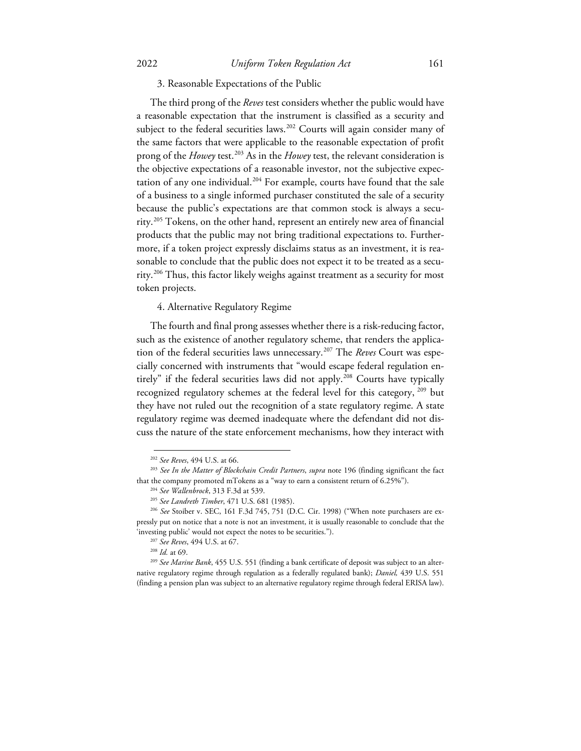3. Reasonable Expectations of the Public

The third prong of the *Reves* test considers whether the public would have a reasonable expectation that the instrument is classified as a security and subject to the federal securities laws.<sup>[202](#page-31-0)</sup> Courts will again consider many of the same factors that were applicable to the reasonable expectation of profit prong of the *Howey* test.[203](#page-31-1) As in the *Howey* test, the relevant consideration is the objective expectations of a reasonable investor, not the subjective expec-tation of any one individual.<sup>[204](#page-31-2)</sup> For example, courts have found that the sale of a business to a single informed purchaser constituted the sale of a security because the public's expectations are that common stock is always a security.[205](#page-31-3) Tokens, on the other hand, represent an entirely new area of financial products that the public may not bring traditional expectations to. Furthermore, if a token project expressly disclaims status as an investment, it is reasonable to conclude that the public does not expect it to be treated as a security.[206](#page-31-4) Thus, this factor likely weighs against treatment as a security for most token projects.

4. Alternative Regulatory Regime

The fourth and final prong assesses whether there is a risk-reducing factor, such as the existence of another regulatory scheme, that renders the application of the federal securities laws unnecessary.[207](#page-31-5) The *Reves* Court was especially concerned with instruments that "would escape federal regulation en-tirely" if the federal securities laws did not apply.<sup>[208](#page-31-6)</sup> Courts have typically recognized regulatory schemes at the federal level for this category, [209](#page-31-7) but they have not ruled out the recognition of a state regulatory regime. A state regulatory regime was deemed inadequate where the defendant did not discuss the nature of the state enforcement mechanisms, how they interact with

<span id="page-31-1"></span><span id="page-31-0"></span><sup>202</sup> *See Reves*, 494 U.S. at 66. 203 *See In the Matter of Blockchain Credit Partners*, *supra* note 196 (finding significant the fact that the company promoted mTokens as a "way to earn a consistent return of 6.25%"). 204 *See Wallenbrock*, 313 F.3d at 539.

<sup>205</sup> *See Landreth Timber*, 471 U.S. 681 (1985).

<span id="page-31-4"></span><span id="page-31-3"></span><span id="page-31-2"></span><sup>206</sup> *See* Stoiber v. SEC, 161 F.3d 745, 751 (D.C. Cir. 1998) ("When note purchasers are expressly put on notice that a note is not an investment, it is usually reasonable to conclude that the 'investing public' would not expect the notes to be securities."). 207 *See Reves*, 494 U.S. at 67.

<span id="page-31-7"></span><span id="page-31-6"></span><span id="page-31-5"></span><sup>&</sup>lt;sup>209</sup> See Marine Bank, 455 U.S. 551 (finding a bank certificate of deposit was subject to an alternative regulatory regime through regulation as a federally regulated bank); *Daniel,* 439 U.S. 551 (finding a pension plan was subject to an alternative regulatory regime through federal ERISA law).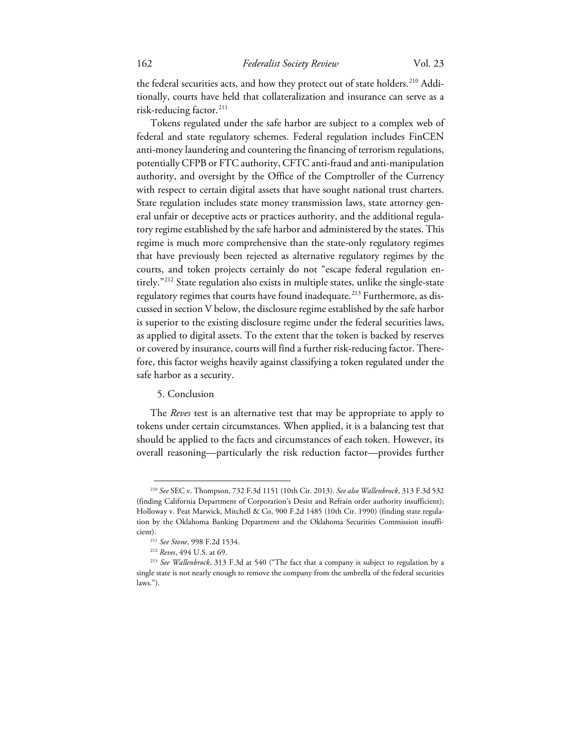the federal securities acts, and how they protect out of state holders.<sup>[210](#page-32-0)</sup> Additionally, courts have held that collateralization and insurance can serve as a risk-reducing factor.<sup>211</sup>

Tokens regulated under the safe harbor are subject to a complex web of federal and state regulatory schemes. Federal regulation includes FinCEN anti-money laundering and countering the financing of terrorism regulations, potentially CFPB or FTC authority, CFTC anti-fraud and anti-manipulation authority, and oversight by the Office of the Comptroller of the Currency with respect to certain digital assets that have sought national trust charters. State regulation includes state money transmission laws, state attorney general unfair or deceptive acts or practices authority, and the additional regulatory regime established by the safe harbor and administered by the states. This regime is much more comprehensive than the state-only regulatory regimes that have previously been rejected as alternative regulatory regimes by the courts, and token projects certainly do not "escape federal regulation entirely.["212](#page-32-2) State regulation also exists in multiple states, unlike the single-state regulatory regimes that courts have found inadequate.<sup>[213](#page-32-3)</sup> Furthermore, as discussed in section V below, the disclosure regime established by the safe harbor is superior to the existing disclosure regime under the federal securities laws, as applied to digital assets. To the extent that the token is backed by reserves or covered by insurance, courts will find a further risk-reducing factor. Therefore, this factor weighs heavily against classifying a token regulated under the safe harbor as a security.

#### 5. Conclusion

The *Reves* test is an alternative test that may be appropriate to apply to tokens under certain circumstances. When applied, it is a balancing test that should be applied to the facts and circumstances of each token. However, its overall reasoning—particularly the risk reduction factor—provides further

<span id="page-32-0"></span><sup>210</sup> *See* SEC v. Thompson, 732 F.3d 1151 (10th Cir. 2013). *See also Wallenbrock*, 313 F.3d 532 (finding California Department of Corporation's Desist and Refrain order authority insufficient); Holloway v. Peat Marwick, Mitchell & Co, 900 F.2d 1485 (10th Cir. 1990) (finding state regulation by the Oklahoma Banking Department and the Oklahoma Securities Commission insufficient).<br><sup>211</sup> See Stone, 998 F.2d 1534.

<sup>&</sup>lt;sup>212</sup> *Reves*, 494 U.S. at 69.

<span id="page-32-3"></span><span id="page-32-2"></span><span id="page-32-1"></span><sup>213</sup> *See Wallenbrock*, 313 F.3d at 540 ("The fact that a company is subject to regulation by a single state is not nearly enough to remove the company from the umbrella of the federal securities laws.").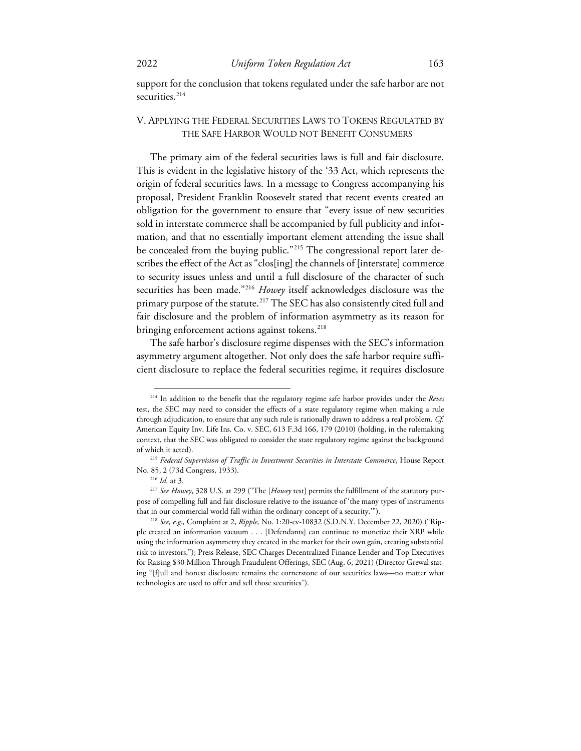support for the conclusion that tokens regulated under the safe harbor are not securities.<sup>[214](#page-33-0)</sup>

# V. APPLYING THE FEDERAL SECURITIES LAWS TO TOKENS REGULATED BY THE SAFE HARBOR WOULD NOT BENEFIT CONSUMERS

The primary aim of the federal securities laws is full and fair disclosure. This is evident in the legislative history of the '33 Act, which represents the origin of federal securities laws. In a message to Congress accompanying his proposal, President Franklin Roosevelt stated that recent events created an obligation for the government to ensure that "every issue of new securities sold in interstate commerce shall be accompanied by full publicity and information, and that no essentially important element attending the issue shall be concealed from the buying public."<sup>[215](#page-33-1)</sup> The congressional report later describes the effect of the Act as "clos[ing] the channels of [interstate] commerce to security issues unless and until a full disclosure of the character of such securities has been made."<sup>[216](#page-33-2)</sup> *Howey* itself acknowledges disclosure was the primary purpose of the statute.<sup>[217](#page-33-3)</sup> The SEC has also consistently cited full and fair disclosure and the problem of information asymmetry as its reason for bringing enforcement actions against tokens.<sup>218</sup>

The safe harbor's disclosure regime dispenses with the SEC's information asymmetry argument altogether. Not only does the safe harbor require sufficient disclosure to replace the federal securities regime, it requires disclosure

<span id="page-33-0"></span><sup>214</sup> In addition to the benefit that the regulatory regime safe harbor provides under the *Reves*  test, the SEC may need to consider the effects of a state regulatory regime when making a rule through adjudication, to ensure that any such rule is rationally drawn to address a real problem. *Cf.*  American Equity Inv. Life Ins. Co. v. SEC, 613 F.3d 166, 179 (2010) (holding, in the rulemaking context, that the SEC was obligated to consider the state regulatory regime against the background of which it acted).

<sup>215</sup> *Federal Supervision of Traffic in Investment Securities in Interstate Commerce*, House Report

<span id="page-33-3"></span><span id="page-33-2"></span><span id="page-33-1"></span>No. 85, 2 (73d Congress, 1933). 216 *Id.* at 3. 217 *See Howey*, 328 U.S. at 299 ("The [*Howey* test] permits the fulfillment of the statutory purpose of compelling full and fair disclosure relative to the issuance of 'the many types of instruments that in our commercial world fall within the ordinary concept of a security.'"). 218 *See, e.g.,* Complaint at 2, *Ripple,* No. 1:20-cv-10832 (S.D.N.Y. December 22, 2020) ("Rip-

<span id="page-33-4"></span>ple created an information vacuum . . . [Defendants] can continue to monetize their XRP while using the information asymmetry they created in the market for their own gain, creating substantial risk to investors."); Press Release, SEC Charges Decentralized Finance Lender and Top Executives for Raising \$30 Million Through Fraudulent Offerings, SEC (Aug. 6, 2021) (Director Grewal stating "[f]ull and honest disclosure remains the cornerstone of our securities laws—no matter what technologies are used to offer and sell those securities").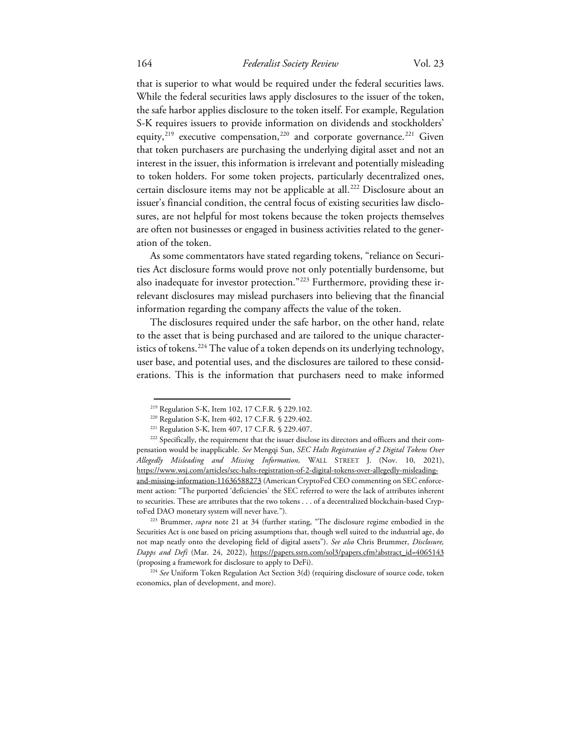# 164 *Federalist Society Review* Vol. 23

that is superior to what would be required under the federal securities laws. While the federal securities laws apply disclosures to the issuer of the token, the safe harbor applies disclosure to the token itself. For example, Regulation S-K requires issuers to provide information on dividends and stockholders' equity,<sup>[219](#page-34-0)</sup> executive compensation,<sup>[220](#page-34-1)</sup> and corporate governance.<sup>[221](#page-34-2)</sup> Given that token purchasers are purchasing the underlying digital asset and not an interest in the issuer, this information is irrelevant and potentially misleading to token holders. For some token projects, particularly decentralized ones, certain disclosure items may not be applicable at all.<sup>[222](#page-34-3)</sup> Disclosure about an issuer's financial condition, the central focus of existing securities law disclosures, are not helpful for most tokens because the token projects themselves are often not businesses or engaged in business activities related to the generation of the token.

As some commentators have stated regarding tokens, "reliance on Securities Act disclosure forms would prove not only potentially burdensome, but also inadequate for investor protection."[223](#page-34-4) Furthermore, providing these irrelevant disclosures may mislead purchasers into believing that the financial information regarding the company affects the value of the token.

The disclosures required under the safe harbor, on the other hand, relate to the asset that is being purchased and are tailored to the unique characteristics of tokens.<sup>224</sup> The value of a token depends on its underlying technology, user base, and potential uses, and the disclosures are tailored to these considerations. This is the information that purchasers need to make informed

<span id="page-34-4"></span>Securities Act is one based on pricing assumptions that, though well suited to the industrial age, do not map neatly onto the developing field of digital assets"). *See also* Chris Brummer, *Disclosure, Dapps and Defi* (Mar. 24, 2022), https://papers.ssrn.com/sol3/papers.cfm?abstract\_id=4065143 (proposing a framework for disclosure to apply to DeFi). 224 *See* Uniform Token Regulation Act Section 3(d) (requiring disclosure of source code, token

<span id="page-34-5"></span>economics, plan of development, and more).

<span id="page-34-3"></span><span id="page-34-2"></span><span id="page-34-1"></span><span id="page-34-0"></span><sup>&</sup>lt;sup>219</sup> Regulation S-K, Item 102, 17 C.F.R. § 229.102.<br><sup>220</sup> Regulation S-K, Item 402, 17 C.F.R. § 229.402.<br><sup>221</sup> Regulation S-K, Item 407, 17 C.F.R. § 229.407.<br><sup>222</sup> Specifically, the requirement that the issuer disclose i pensation would be inapplicable. *See* Mengqi Sun, *SEC Halts Registration of 2 Digital Tokens Over Allegedly Misleading and Missing Information,* WALL STREET J. (Nov. 10, 2021), https://www.wsj.com/articles/sec-halts-registration-of-2-digital-tokens-over-allegedly-misleadingand-missing-information-11636588273 (American CryptoFed CEO commenting on SEC enforcement action: "The purported 'deficiencies' the SEC referred to were the lack of attributes inherent to securities. These are attributes that the two tokens . . . of a decentralized blockchain-based CryptoFed DAO monetary system will never have."). 223 Brummer, *supra* note 21 at 34 (further stating, "The disclosure regime embodied in the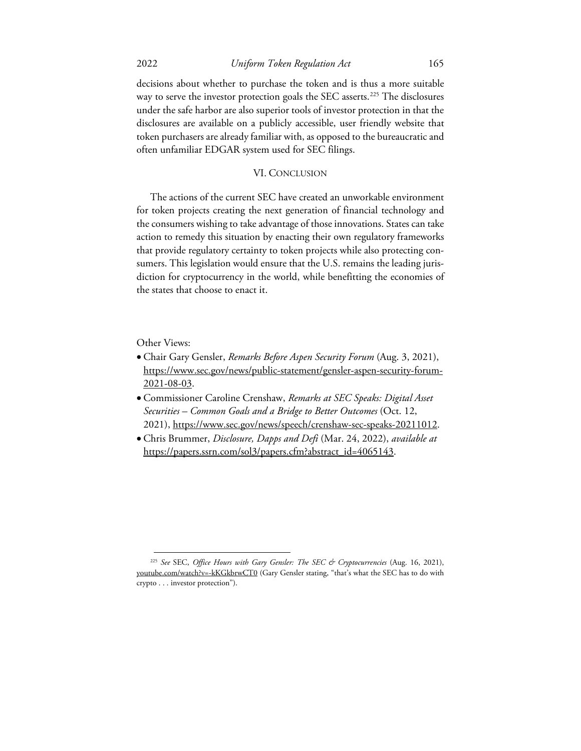decisions about whether to purchase the token and is thus a more suitable way to serve the investor protection goals the SEC asserts.<sup>[225](#page-35-0)</sup> The disclosures under the safe harbor are also superior tools of investor protection in that the disclosures are available on a publicly accessible, user friendly website that token purchasers are already familiar with, as opposed to the bureaucratic and often unfamiliar EDGAR system used for SEC filings.

## VI. CONCLUSION

The actions of the current SEC have created an unworkable environment for token projects creating the next generation of financial technology and the consumers wishing to take advantage of those innovations. States can take action to remedy this situation by enacting their own regulatory frameworks that provide regulatory certainty to token projects while also protecting consumers. This legislation would ensure that the U.S. remains the leading jurisdiction for cryptocurrency in the world, while benefitting the economies of the states that choose to enact it.

Other Views:

- Chair Gary Gensler, *Remarks Before Aspen Security Forum* (Aug. 3, 2021), https://www.sec.gov/news/public-statement/gensler-aspen-security-forum-2021-08-03.
- Commissioner Caroline Crenshaw, *Remarks at SEC Speaks: Digital Asset Securities – Common Goals and a Bridge to Better Outcomes* (Oct. 12, 2021), https://www.sec.gov/news/speech/crenshaw-sec-speaks-20211012.
- Chris Brummer, *Disclosure, Dapps and Defi* (Mar. 24, 2022), *available at* https://papers.ssrn.com/sol3/papers.cfm?abstract\_id=4065143.

<span id="page-35-0"></span><sup>225</sup> *See* SEC, *Office Hours with Gary Gensler: The SEC & Cryptocurrencies* (Aug. 16, 2021), youtube.com/watch?v=-kKGkbrwCT0 (Gary Gensler stating, "that's what the SEC has to do with crypto . . . investor protection").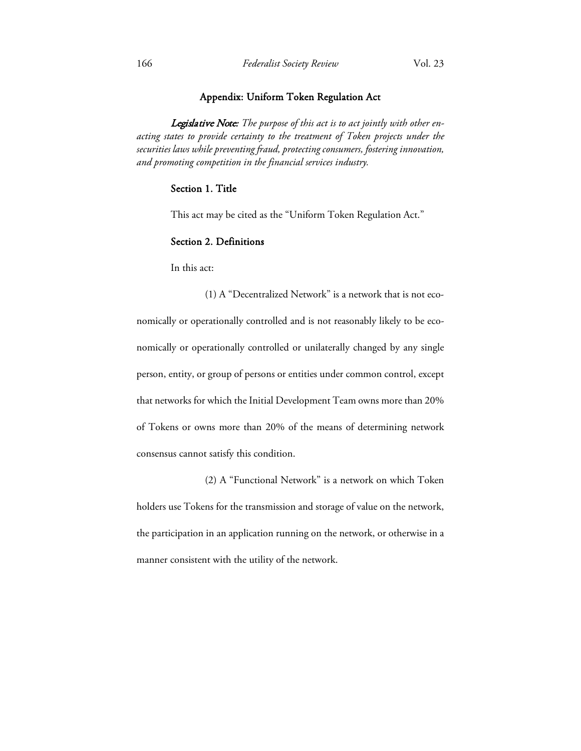# Appendix: Uniform Token Regulation Act

Legislative Note: *The purpose of this act is to act jointly with other enacting states to provide certainty to the treatment of Token projects under the securities laws while preventing fraud, protecting consumers, fostering innovation, and promoting competition in the financial services industry.*

# Section 1. Title

This act may be cited as the "Uniform Token Regulation Act."

# Section 2. Definitions

In this act:

(1) A "Decentralized Network" is a network that is not economically or operationally controlled and is not reasonably likely to be economically or operationally controlled or unilaterally changed by any single person, entity, or group of persons or entities under common control, except that networks for which the Initial Development Team owns more than 20% of Tokens or owns more than 20% of the means of determining network consensus cannot satisfy this condition.

(2) A "Functional Network" is a network on which Token holders use Tokens for the transmission and storage of value on the network, the participation in an application running on the network, or otherwise in a manner consistent with the utility of the network.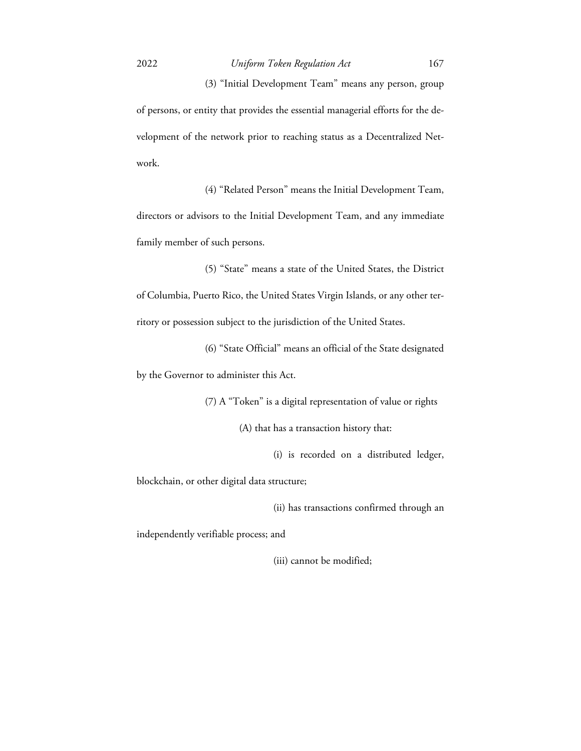(3) "Initial Development Team" means any person, group of persons, or entity that provides the essential managerial efforts for the development of the network prior to reaching status as a Decentralized Network.

(4) "Related Person" means the Initial Development Team, directors or advisors to the Initial Development Team, and any immediate family member of such persons.

(5) "State" means a state of the United States, the District of Columbia, Puerto Rico, the United States Virgin Islands, or any other territory or possession subject to the jurisdiction of the United States.

(6) "State Official" means an official of the State designated by the Governor to administer this Act.

(7) A "Token" is a digital representation of value or rights

(A) that has a transaction history that:

(i) is recorded on a distributed ledger,

blockchain, or other digital data structure;

(ii) has transactions confirmed through an

independently verifiable process; and

(iii) cannot be modified;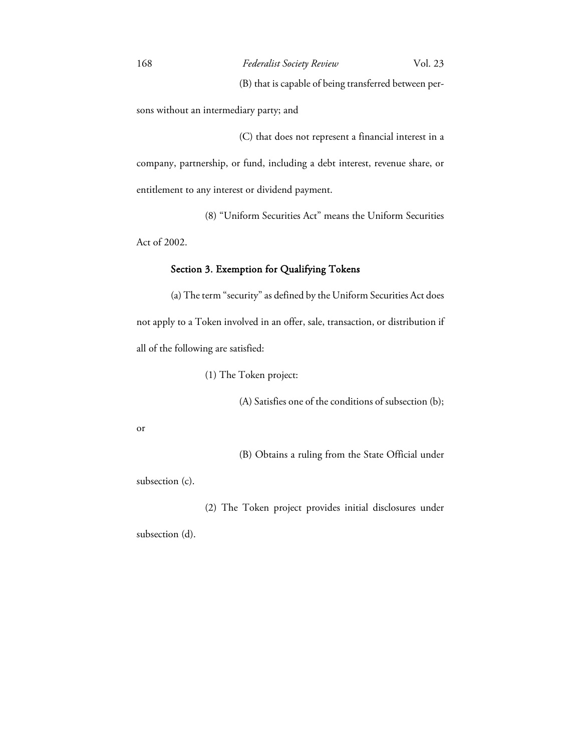(B) that is capable of being transferred between per-

sons without an intermediary party; and

 (C) that does not represent a financial interest in a company, partnership, or fund, including a debt interest, revenue share, or entitlement to any interest or dividend payment.

 (8) "Uniform Securities Act" means the Uniform Securities Act of 2002.

# Section 3. Exemption for Qualifying Tokens

(a) The term "security" as defined by the Uniform Securities Act does not apply to a Token involved in an offer, sale, transaction, or distribution if all of the following are satisfied:

(1) The Token project:

(A) Satisfies one of the conditions of subsection (b);

or

(B) Obtains a ruling from the State Official under

subsection (c).

(2) The Token project provides initial disclosures under

subsection (d).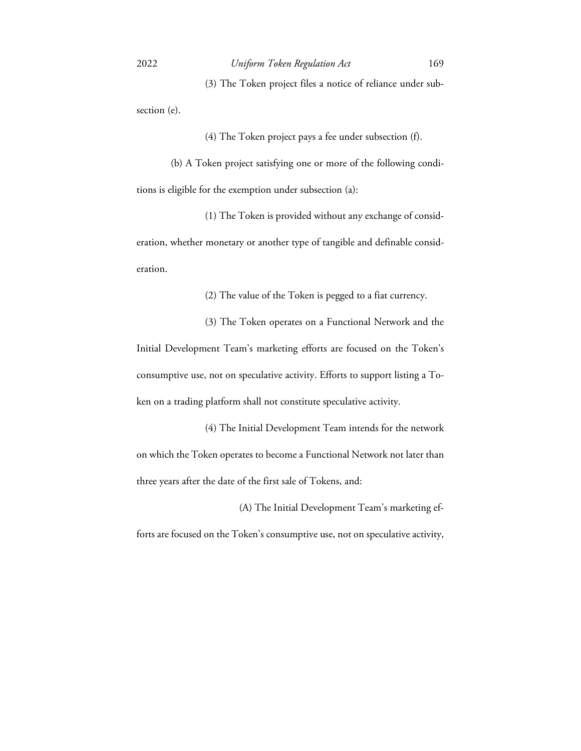(3) The Token project files a notice of reliance under sub-

section (e).

(4) The Token project pays a fee under subsection (f).

(b) A Token project satisfying one or more of the following conditions is eligible for the exemption under subsection (a):

 (1) The Token is provided without any exchange of consideration, whether monetary or another type of tangible and definable consideration.

(2) The value of the Token is pegged to a fiat currency.

 (3) The Token operates on a Functional Network and the Initial Development Team's marketing efforts are focused on the Token's consumptive use, not on speculative activity. Efforts to support listing a Token on a trading platform shall not constitute speculative activity.

 (4) The Initial Development Team intends for the network on which the Token operates to become a Functional Network not later than three years after the date of the first sale of Tokens, and:

(A) The Initial Development Team's marketing ef-

forts are focused on the Token's consumptive use, not on speculative activity,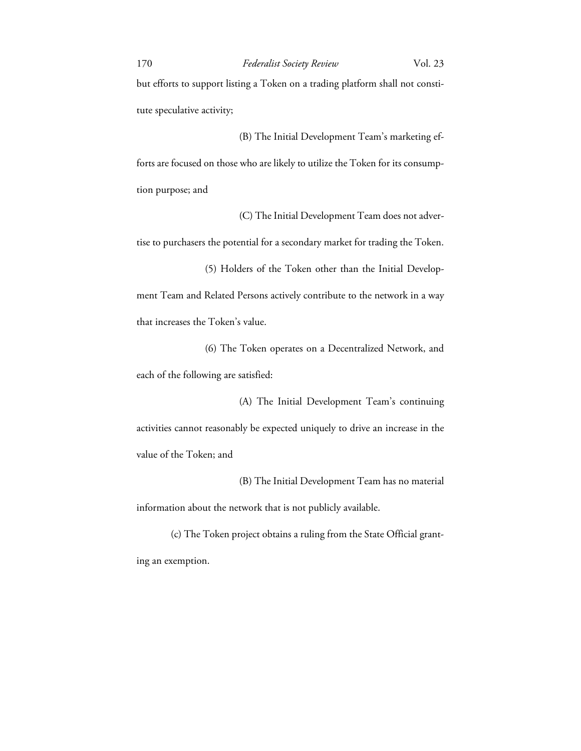but efforts to support listing a Token on a trading platform shall not constitute speculative activity;

 (B) The Initial Development Team's marketing efforts are focused on those who are likely to utilize the Token for its consumption purpose; and

(C) The Initial Development Team does not adver-

tise to purchasers the potential for a secondary market for trading the Token.

 (5) Holders of the Token other than the Initial Development Team and Related Persons actively contribute to the network in a way that increases the Token's value.

 (6) The Token operates on a Decentralized Network, and each of the following are satisfied:

 (A) The Initial Development Team's continuing activities cannot reasonably be expected uniquely to drive an increase in the value of the Token; and

 (B) The Initial Development Team has no material information about the network that is not publicly available.

(c) The Token project obtains a ruling from the State Official granting an exemption.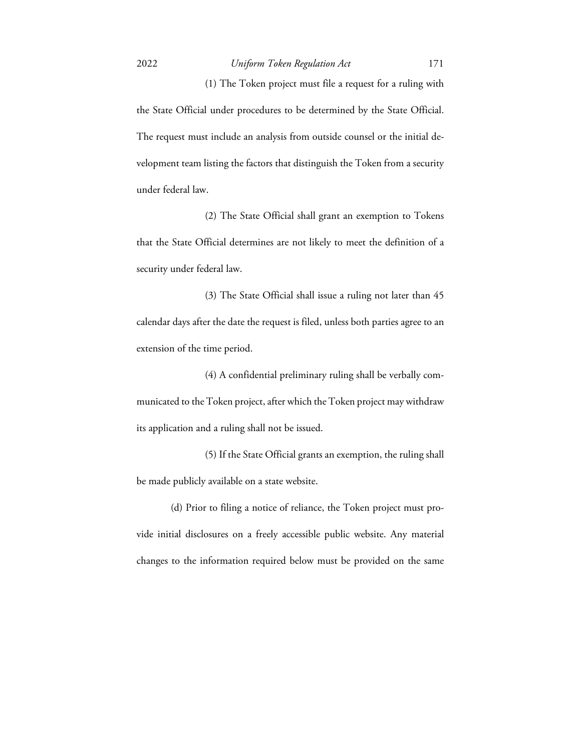(1) The Token project must file a request for a ruling with the State Official under procedures to be determined by the State Official. The request must include an analysis from outside counsel or the initial development team listing the factors that distinguish the Token from a security under federal law.

 (2) The State Official shall grant an exemption to Tokens that the State Official determines are not likely to meet the definition of a security under federal law.

 (3) The State Official shall issue a ruling not later than 45 calendar days after the date the request is filed, unless both parties agree to an extension of the time period.

 (4) A confidential preliminary ruling shall be verbally communicated to the Token project, after which the Token project may withdraw its application and a ruling shall not be issued.

 (5) If the State Official grants an exemption, the ruling shall be made publicly available on a state website.

(d) Prior to filing a notice of reliance, the Token project must provide initial disclosures on a freely accessible public website. Any material changes to the information required below must be provided on the same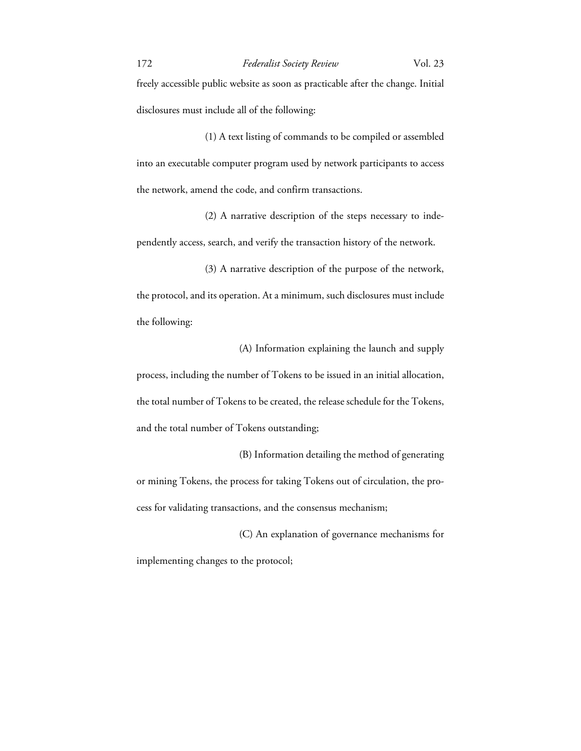freely accessible public website as soon as practicable after the change. Initial disclosures must include all of the following:

 (1) A text listing of commands to be compiled or assembled into an executable computer program used by network participants to access the network, amend the code, and confirm transactions.

 (2) A narrative description of the steps necessary to independently access, search, and verify the transaction history of the network.

 (3) A narrative description of the purpose of the network, the protocol, and its operation. At a minimum, such disclosures must include the following:

 (A) Information explaining the launch and supply process, including the number of Tokens to be issued in an initial allocation, the total number of Tokens to be created, the release schedule for the Tokens, and the total number of Tokens outstanding;

 (B) Information detailing the method of generating or mining Tokens, the process for taking Tokens out of circulation, the process for validating transactions, and the consensus mechanism;

 (C) An explanation of governance mechanisms for implementing changes to the protocol;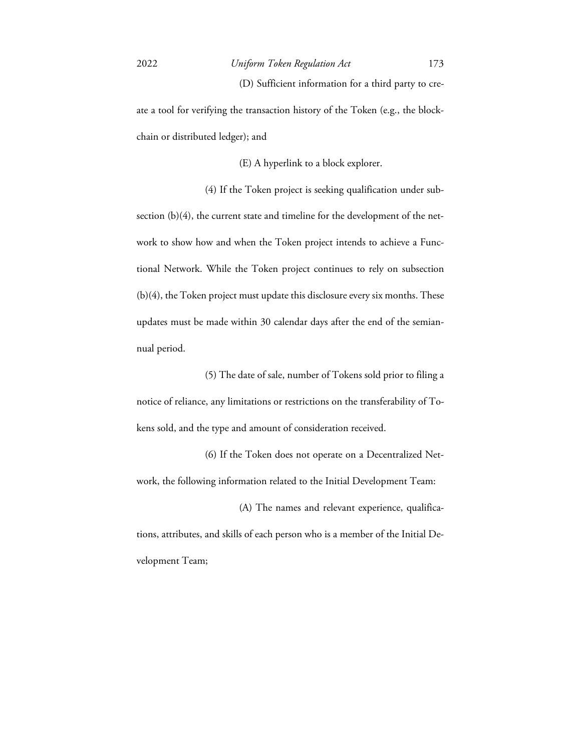(D) Sufficient information for a third party to cre-

ate a tool for verifying the transaction history of the Token (e.g., the blockchain or distributed ledger); and

(E) A hyperlink to a block explorer.

 (4) If the Token project is seeking qualification under subsection (b)(4), the current state and timeline for the development of the network to show how and when the Token project intends to achieve a Functional Network. While the Token project continues to rely on subsection (b)(4), the Token project must update this disclosure every six months. These updates must be made within 30 calendar days after the end of the semiannual period.

 (5) The date of sale, number of Tokens sold prior to filing a notice of reliance, any limitations or restrictions on the transferability of Tokens sold, and the type and amount of consideration received.

 (6) If the Token does not operate on a Decentralized Network, the following information related to the Initial Development Team:

 (A) The names and relevant experience, qualifications, attributes, and skills of each person who is a member of the Initial Development Team;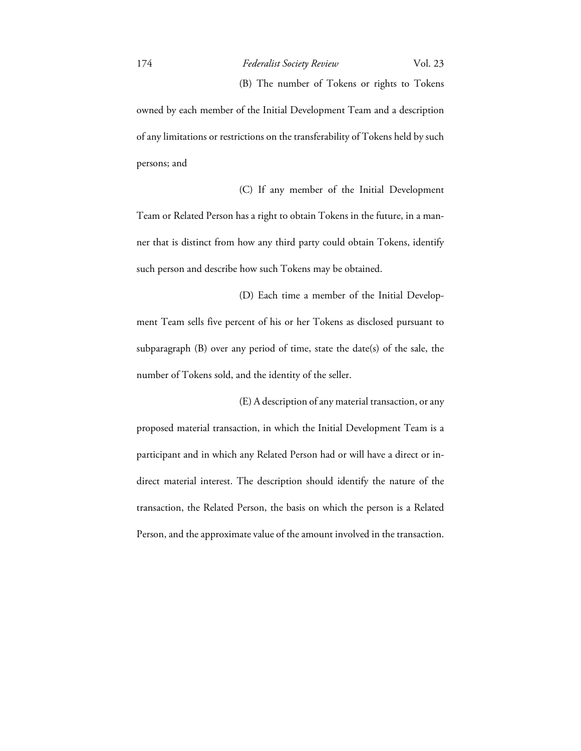(B) The number of Tokens or rights to Tokens owned by each member of the Initial Development Team and a description of any limitations or restrictions on the transferability of Tokens held by such persons; and

 (C) If any member of the Initial Development Team or Related Person has a right to obtain Tokens in the future, in a manner that is distinct from how any third party could obtain Tokens, identify such person and describe how such Tokens may be obtained.

 (D) Each time a member of the Initial Development Team sells five percent of his or her Tokens as disclosed pursuant to subparagraph (B) over any period of time, state the date(s) of the sale, the number of Tokens sold, and the identity of the seller.

 (E) A description of any material transaction, or any proposed material transaction, in which the Initial Development Team is a participant and in which any Related Person had or will have a direct or indirect material interest. The description should identify the nature of the transaction, the Related Person, the basis on which the person is a Related Person, and the approximate value of the amount involved in the transaction.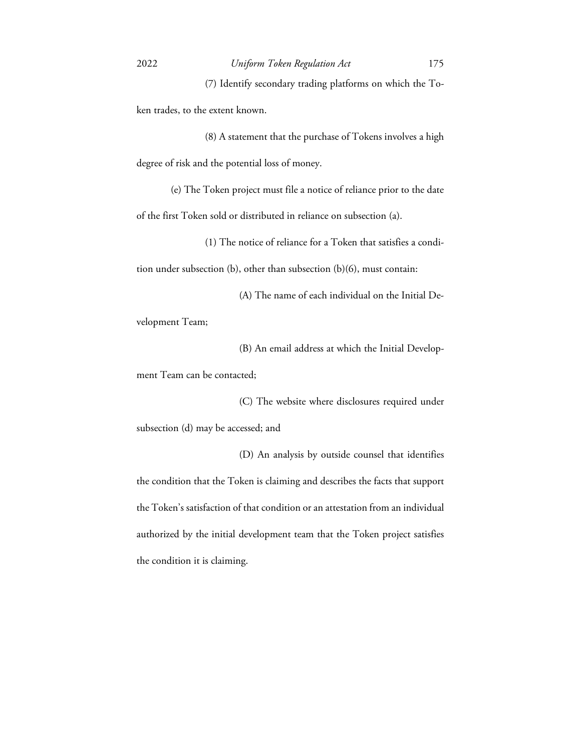(7) Identify secondary trading platforms on which the Token trades, to the extent known.

 (8) A statement that the purchase of Tokens involves a high degree of risk and the potential loss of money.

(e) The Token project must file a notice of reliance prior to the date of the first Token sold or distributed in reliance on subsection (a).

(1) The notice of reliance for a Token that satisfies a condi-

tion under subsection (b), other than subsection (b)(6), must contain:

(A) The name of each individual on the Initial De-

velopment Team;

(B) An email address at which the Initial Develop-

ment Team can be contacted;

(C) The website where disclosures required under

subsection (d) may be accessed; and

 (D) An analysis by outside counsel that identifies the condition that the Token is claiming and describes the facts that support the Token's satisfaction of that condition or an attestation from an individual authorized by the initial development team that the Token project satisfies the condition it is claiming.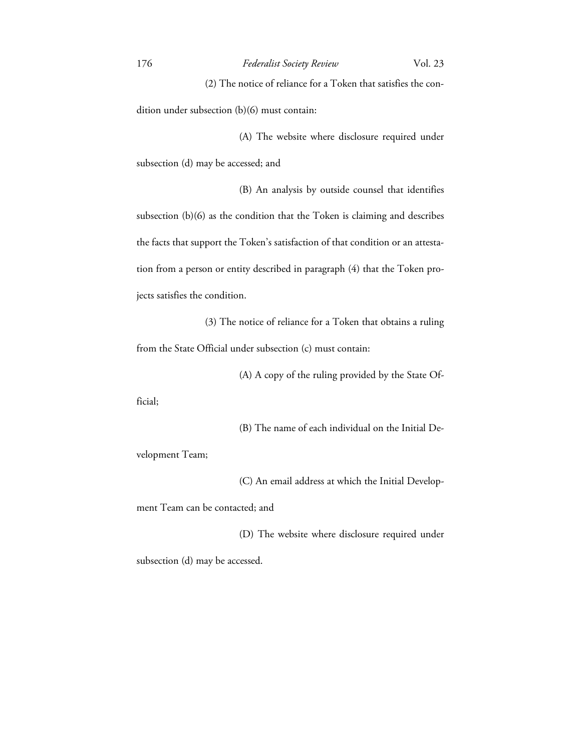(2) The notice of reliance for a Token that satisfies the con-

dition under subsection (b)(6) must contain:

 (A) The website where disclosure required under subsection (d) may be accessed; and

 (B) An analysis by outside counsel that identifies subsection (b)(6) as the condition that the Token is claiming and describes the facts that support the Token's satisfaction of that condition or an attestation from a person or entity described in paragraph (4) that the Token projects satisfies the condition.

 (3) The notice of reliance for a Token that obtains a ruling from the State Official under subsection (c) must contain:

(A) A copy of the ruling provided by the State Of-

ficial;

(B) The name of each individual on the Initial De-

velopment Team;

(C) An email address at which the Initial Develop-

ment Team can be contacted; and

 (D) The website where disclosure required under subsection (d) may be accessed.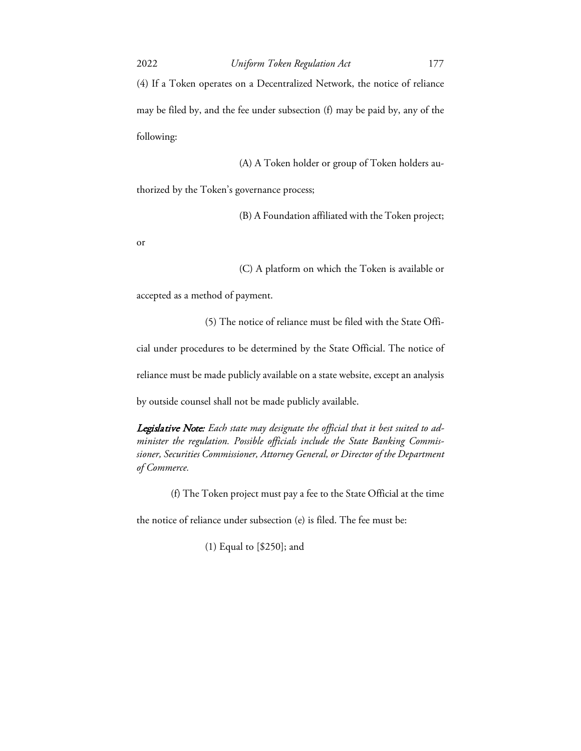(4) If a Token operates on a Decentralized Network, the notice of reliance may be filed by, and the fee under subsection (f) may be paid by, any of the following:

(A) A Token holder or group of Token holders au-

thorized by the Token's governance process;

(B) A Foundation affiliated with the Token project;

or

(C) A platform on which the Token is available or

accepted as a method of payment.

(5) The notice of reliance must be filed with the State Offi-

cial under procedures to be determined by the State Official. The notice of

reliance must be made publicly available on a state website, except an analysis

by outside counsel shall not be made publicly available.

Legislative Note: *Each state may designate the official that it best suited to administer the regulation. Possible officials include the State Banking Commissioner, Securities Commissioner, Attorney General, or Director of the Department of Commerce.* 

(f) The Token project must pay a fee to the State Official at the time

the notice of reliance under subsection (e) is filed. The fee must be:

(1) Equal to [\$250]; and